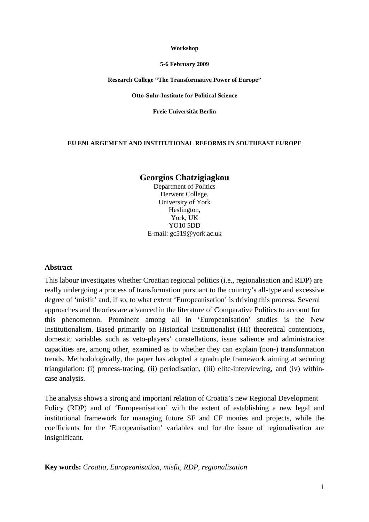#### **Workshop**

#### **5-6 February 2009**

### **Research College "The Transformative Power of Europe"**

### **Otto-Suhr-Institute for Political Science**

**Freie Universität Berlin** 

### **EU ENLARGEMENT AND INSTITUTIONAL REFORMS IN SOUTHEAST EUROPE**

# **Georgios Chatzigiagkou**

Department of Politics Derwent College, University of York Heslington, York, UK YO10 5DD E-mail: gc519@york.ac.uk

### **Abstract**

This labour investigates whether Croatian regional politics (i.e., regionalisation and RDP) are really undergoing a process of transformation pursuant to the country's all-type and excessive degree of 'misfit' and, if so, to what extent 'Europeanisation' is driving this process. Several approaches and theories are advanced in the literature of Comparative Politics to account for this phenomenon. Prominent among all in 'Europeanisation' studies is the New Institutionalism. Based primarily on Historical Institutionalist (HI) theoretical contentions, domestic variables such as veto-players' constellations, issue salience and administrative capacities are, among other, examined as to whether they can explain (non-) transformation trends. Methodologically, the paper has adopted a quadruple framework aiming at securing triangulation: (i) process-tracing, (ii) periodisation, (iii) elite-interviewing, and (iv) withincase analysis.

The analysis shows a strong and important relation of Croatia's new Regional Development Policy (RDP) and of 'Europeanisation' with the extent of establishing a new legal and institutional framework for managing future SF and CF monies and projects, while the coefficients for the 'Europeanisation' variables and for the issue of regionalisation are insignificant.

**Key words:** *Croatia, Europeanisation, misfit, RDP, regionalisation*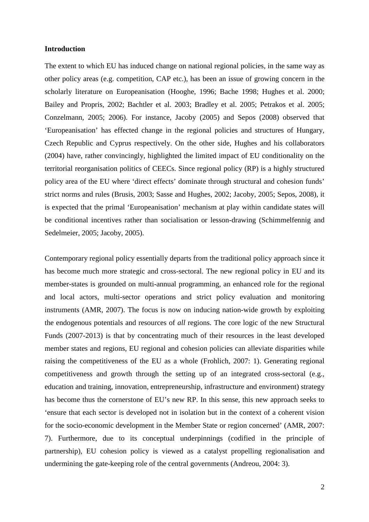## **Introduction**

The extent to which EU has induced change on national regional policies, in the same way as other policy areas (e.g. competition, CAP etc.), has been an issue of growing concern in the scholarly literature on Europeanisation (Hooghe, 1996; Bache 1998; Hughes et al. 2000; Bailey and Propris, 2002; Bachtler et al. 2003; Bradley et al. 2005; Petrakos et al. 2005; Conzelmann, 2005; 2006). For instance, Jacoby (2005) and Sepos (2008) observed that 'Europeanisation' has effected change in the regional policies and structures of Hungary, Czech Republic and Cyprus respectively. On the other side, Hughes and his collaborators (2004) have, rather convincingly, highlighted the limited impact of EU conditionality on the territorial reorganisation politics of CEECs. Since regional policy (RP) is a highly structured policy area of the EU where 'direct effects' dominate through structural and cohesion funds' strict norms and rules (Brusis, 2003; Sasse and Hughes, 2002; Jacoby, 2005; Sepos, 2008), it is expected that the primal 'Europeanisation' mechanism at play within candidate states will be conditional incentives rather than socialisation or lesson-drawing (Schimmelfennig and Sedelmeier, 2005; Jacoby, 2005).

Contemporary regional policy essentially departs from the traditional policy approach since it has become much more strategic and cross-sectoral. The new regional policy in EU and its member-states is grounded on multi-annual programming, an enhanced role for the regional and local actors, multi-sector operations and strict policy evaluation and monitoring instruments (AMR, 2007). The focus is now on inducing nation-wide growth by exploiting the endogenous potentials and resources of *all* regions. The core logic of the new Structural Funds (2007-2013) is that by concentrating much of their resources in the least developed member states and regions, EU regional and cohesion policies can alleviate disparities while raising the competitiveness of the EU as a whole (Frohlich, 2007: 1). Generating regional competitiveness and growth through the setting up of an integrated cross-sectoral (e.g., education and training, innovation, entrepreneurship, infrastructure and environment) strategy has become thus the cornerstone of EU's new RP. In this sense, this new approach seeks to 'ensure that each sector is developed not in isolation but in the context of a coherent vision for the socio-economic development in the Member State or region concerned' (AMR, 2007: 7). Furthermore, due to its conceptual underpinnings (codified in the principle of partnership), EU cohesion policy is viewed as a catalyst propelling regionalisation and undermining the gate-keeping role of the central governments (Andreou, 2004: 3).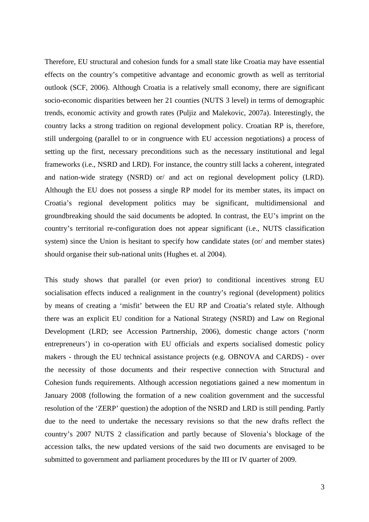Therefore, EU structural and cohesion funds for a small state like Croatia may have essential effects on the country's competitive advantage and economic growth as well as territorial outlook (SCF, 2006). Although Croatia is a relatively small economy, there are significant socio-economic disparities between her 21 counties (NUTS 3 level) in terms of demographic trends, economic activity and growth rates (Puljiz and Malekovic, 2007a). Interestingly, the country lacks a strong tradition on regional development policy. Croatian RP is, therefore, still undergoing (parallel to or in congruence with EU accession negotiations) a process of setting up the first, necessary preconditions such as the necessary institutional and legal frameworks (i.e., NSRD and LRD). For instance, the country still lacks a coherent, integrated and nation-wide strategy (NSRD) or/ and act on regional development policy (LRD). Although the EU does not possess a single RP model for its member states, its impact on Croatia's regional development politics may be significant, multidimensional and groundbreaking should the said documents be adopted. In contrast, the EU's imprint on the country's territorial re-configuration does not appear significant (i.e., NUTS classification system) since the Union is hesitant to specify how candidate states (or/ and member states) should organise their sub-national units (Hughes et. al 2004).

This study shows that parallel (or even prior) to conditional incentives strong EU socialisation effects induced a realignment in the country's regional (development) politics by means of creating a 'misfit' between the EU RP and Croatia's related style. Although there was an explicit EU condition for a National Strategy (NSRD) and Law on Regional Development (LRD; see Accession Partnership, 2006), domestic change actors ('norm entrepreneurs') in co-operation with EU officials and experts socialised domestic policy makers - through the EU technical assistance projects (e.g. OBNOVA and CARDS) - over the necessity of those documents and their respective connection with Structural and Cohesion funds requirements. Although accession negotiations gained a new momentum in January 2008 (following the formation of a new coalition government and the successful resolution of the 'ZERP' question) the adoption of the NSRD and LRD is still pending. Partly due to the need to undertake the necessary revisions so that the new drafts reflect the country's 2007 NUTS 2 classification and partly because of Slovenia's blockage of the accession talks, the new updated versions of the said two documents are envisaged to be submitted to government and parliament procedures by the III or IV quarter of 2009.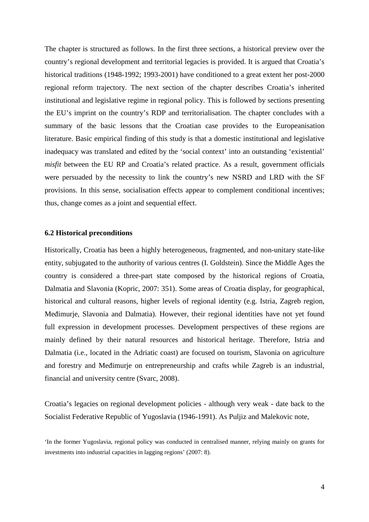The chapter is structured as follows. In the first three sections, a historical preview over the country's regional development and territorial legacies is provided. It is argued that Croatia's historical traditions (1948-1992; 1993-2001) have conditioned to a great extent her post-2000 regional reform trajectory. The next section of the chapter describes Croatia's inherited institutional and legislative regime in regional policy. This is followed by sections presenting the EU's imprint on the country's RDP and territorialisation. The chapter concludes with a summary of the basic lessons that the Croatian case provides to the Europeanisation literature. Basic empirical finding of this study is that a domestic institutional and legislative inadequacy was translated and edited by the 'social context' into an outstanding 'existential' *misfit* between the EU RP and Croatia's related practice. As a result, government officials were persuaded by the necessity to link the country's new NSRD and LRD with the SF provisions. In this sense, socialisation effects appear to complement conditional incentives; thus, change comes as a joint and sequential effect.

#### **6.2 Historical preconditions**

Historically, Croatia has been a highly heterogeneous, fragmented, and non-unitary state-like entity, subjugated to the authority of various centres (I. Goldstein). Since the Middle Ages the country is considered a three-part state composed by the historical regions of Croatia, Dalmatia and Slavonia (Kopric, 2007: 351). Some areas of Croatia display, for geographical, historical and cultural reasons, higher levels of regional identity (e.g. Istria, Zagreb region, Međimurje, Slavonia and Dalmatia). However, their regional identities have not yet found full expression in development processes. Development perspectives of these regions are mainly defined by their natural resources and historical heritage. Therefore, Istria and Dalmatia (i.e., located in the Adriatic coast) are focused on tourism, Slavonia on agriculture and forestry and Međimurje on entrepreneurship and crafts while Zagreb is an industrial, financial and university centre (Svarc, 2008).

Croatia's legacies on regional development policies - although very weak - date back to the Socialist Federative Republic of Yugoslavia (1946-1991). As Puljiz and Malekovic note,

<sup>&#</sup>x27;In the former Yugoslavia, regional policy was conducted in centralised manner, relying mainly on grants for investments into industrial capacities in lagging regions' (2007: 8).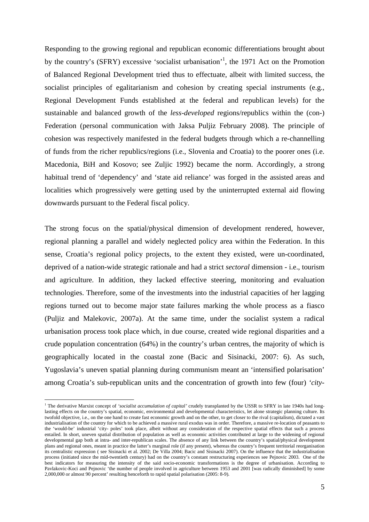Responding to the growing regional and republican economic differentiations brought about by the country's (SFRY) excessive 'socialist urbanisation'<sup>1</sup>, the 1971 Act on the Promotion of Balanced Regional Development tried thus to effectuate, albeit with limited success, the socialist principles of egalitarianism and cohesion by creating special instruments (e.g., Regional Development Funds established at the federal and republican levels) for the sustainable and balanced growth of the *less-developed* regions/republics within the (con-) Federation (personal communication with Jaksa Puljiz February 2008). The principle of cohesion was respectively manifested in the federal budgets through which a re-channelling of funds from the richer republics/regions (i.e., Slovenia and Croatia) to the poorer ones (i.e. Macedonia, BiH and Kosovo; see Zuljic 1992) became the norm. Accordingly, a strong habitual trend of 'dependency' and 'state aid reliance' was forged in the assisted areas and localities which progressively were getting used by the uninterrupted external aid flowing downwards pursuant to the Federal fiscal policy.

The strong focus on the spatial/physical dimension of development rendered, however, regional planning a parallel and widely neglected policy area within the Federation. In this sense, Croatia's regional policy projects, to the extent they existed, were un-coordinated, deprived of a nation-wide strategic rationale and had a strict *sectoral* dimension - i.e., tourism and agriculture. In addition, they lacked effective steering, monitoring and evaluation technologies. Therefore, some of the investments into the industrial capacities of her lagging regions turned out to become major state failures marking the whole process as a fiasco (Puljiz and Malekovic, 2007a). At the same time, under the socialist system a radical urbanisation process took place which, in due course, created wide regional disparities and a crude population concentration (64%) in the country's urban centres, the majority of which is geographically located in the coastal zone (Bacic and Sisinacki, 2007: 6). As such, Yugoslavia's uneven spatial planning during communism meant an 'intensified polarisation' among Croatia's sub-republican units and the concentration of growth into few (four) *'city-*

<sup>&</sup>lt;sup>1</sup> The derivative Marxist concept of 'socialist accumulation of capital' crudely transplanted by the USSR to SFRY in late 1940s had longlasting effects on the country's spatial, economic, environmental and developmental characteristics, let alone strategic planning culture. Its twofold objective, i.e., on the one hand to create fast economic growth and on the other, to get closer to the rival (capitalism), dictated a vast industrialisation of the country for which to be achieved a massive rural exodus was in order. Therefore, a massive re-location of peasants to the 'would-be' industrial 'city- poles' took place, albeit without any consideration of the respective spatial effects that such a process entailed. In short, uneven spatial distribution of population as well as economic activities contributed at large to the widening of regional developmental gap both at intra- and inter-republican scales. The absence of any link between the country's spatial/physical development plans and regional ones, meant in practice the latter's marginal role (if any present), whereas the country's frequent territorial reorganisation its centralistic expression ( see Sisinacki et al. 2002; De Villa 2004; Bacic and Sisinacki 2007). On the influence that the industrialisation process (initiated since the mid-twentieth century) had on the country's constant restructuring experiences see Pejnovic 2003. One of the best indicators for measuring the intensity of the said socio-economic transformations is the degree of urbanisation. According to Pavlakovic-Koci and Pejnovic 'the number of people involved in agriculture between 1953 and 2001 [was radically diminished] by some 2,000,000 or almost 90 percent' resulting henceforth to rapid spatial polarisation (2005: 8-9).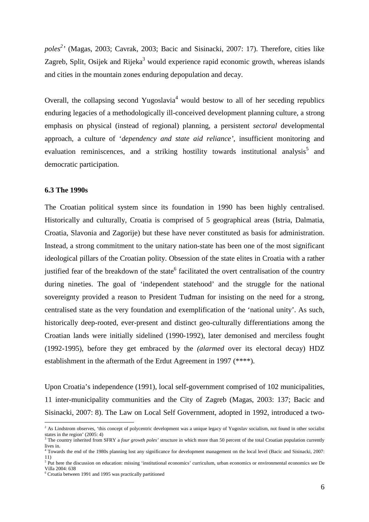*poles<sup>2</sup> '* (Magas, 2003; Cavrak, 2003; Bacic and Sisinacki, 2007: 17). Therefore, cities like Zagreb, Split, Osijek and Rijeka<sup>3</sup> would experience rapid economic growth, whereas islands and cities in the mountain zones enduring depopulation and decay.

Overall, the collapsing second Yugoslavia<sup>4</sup> would bestow to all of her seceding republics enduring legacies of a methodologically ill-conceived development planning culture, a strong emphasis on physical (instead of regional) planning, a persistent *sectoral* developmental approach, a culture of '*dependency and state aid reliance'*, insufficient monitoring and evaluation reminiscences, and a striking hostility towards institutional analysis<sup>5</sup> and democratic participation.

## **6.3 The 1990s**

 $\overline{a}$ 

The Croatian political system since its foundation in 1990 has been highly centralised. Historically and culturally, Croatia is comprised of 5 geographical areas (Istria, Dalmatia, Croatia, Slavonia and Zagorije) but these have never constituted as basis for administration. Instead, a strong commitment to the unitary nation-state has been one of the most significant ideological pillars of the Croatian polity. Obsession of the state elites in Croatia with a rather justified fear of the breakdown of the state<sup>6</sup> facilitated the overt centralisation of the country during nineties. The goal of 'independent statehood' and the struggle for the national sovereignty provided a reason to President Tuđman for insisting on the need for a strong, centralised state as the very foundation and exemplification of the 'national unity'. As such, historically deep-rooted, ever-present and distinct geo-culturally differentiations among the Croatian lands were initially sidelined (1990-1992), later demonised and merciless fought (1992-1995), before they get embraced by the *(alarmed* over its electoral decay) HDZ establishment in the aftermath of the Erdut Agreement in 1997 (\*\*\*\*).

Upon Croatia's independence (1991), local self-government comprised of 102 municipalities, 11 inter-municipality communities and the City of Zagreb (Magas, 2003: 137; Bacic and Sisinacki, 2007: 8). The Law on Local Self Government, adopted in 1992, introduced a two-

<sup>&</sup>lt;sup>2</sup> As Lindstrom observes, 'this concept of polycentric development was a unique legacy of Yugoslav socialism, not found in other socialist states in the region'  $(2005:4)$ 

<sup>&</sup>lt;sup>3</sup> The country inherited from SFRY a *four growth poles'* structure in which more than 50 percent of the total Croatian population currently lives in.

<sup>4</sup> Towards the end of the 1980s planning lost any significance for development management on the local level (Bacic and Sisinacki, 2007: 11)

<sup>&</sup>lt;sup>5</sup> Put here the discussion on education: missing 'institutional economics' curriculum, urban economics or environmental economics see De Villa 2004: 638

<sup>6</sup> Croatia between 1991 and 1995 was practically partitioned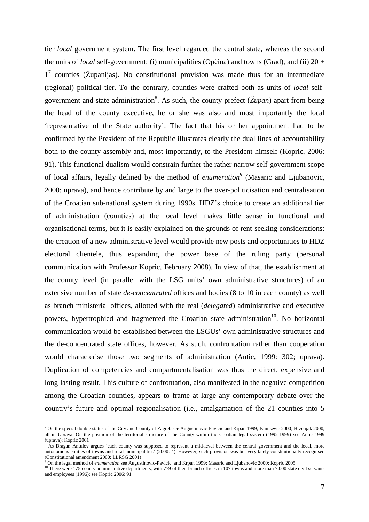tier *local* government system. The first level regarded the central state, whereas the second the units of *local* self-government: (i) municipalities (Opčina) and towns (Grad), and (ii) 20 +  $1^7$  counties (Županijas). No constitutional provision was made thus for an intermediate (regional) political tier. To the contrary, counties were crafted both as units of *local* selfgovernment and state administration<sup>8</sup>. As such, the county prefect (*Župan*) apart from being the head of the county executive, he or she was also and most importantly the local 'representative of the State authority'. The fact that his or her appointment had to be confirmed by the President of the Republic illustrates clearly the dual lines of accountability both to the county assembly and, most importantly, to the President himself (Kopric, 2006: 91). This functional dualism would constrain further the rather narrow self-government scope of local affairs, legally defined by the method of *enumeration<sup>9</sup>* (Masaric and Ljubanovic, 2000; uprava), and hence contribute by and large to the over-politicisation and centralisation of the Croatian sub-national system during 1990s. HDZ's choice to create an additional tier of administration (counties) at the local level makes little sense in functional and organisational terms, but it is easily explained on the grounds of rent-seeking considerations: the creation of a new administrative level would provide new posts and opportunities to HDZ electoral clientele, thus expanding the power base of the ruling party (personal communication with Professor Kopric, February 2008). In view of that, the establishment at the county level (in parallel with the LSG units' own administrative structures) of an extensive number of state *de-concentrated* offices and bodies (8 to 10 in each county) as well as branch ministerial offices, allotted with the real (*delegated*) administrative and executive powers, hypertrophied and fragmented the Croatian state administration<sup>10</sup>. No horizontal communication would be established between the LSGUs' own administrative structures and the de-concentrated state offices, however. As such, confrontation rather than cooperation would characterise those two segments of administration (Antic, 1999: 302; uprava). Duplication of competencies and compartmentalisation was thus the direct, expensive and long-lasting result. This culture of confrontation, also manifested in the negative competition among the Croatian counties, appears to frame at large any contemporary debate over the country's future and optimal regionalisation (i.e., amalgamation of the 21 counties into 5

<sup>&</sup>lt;sup>7</sup> On the special double status of the City and County of Zagreb see Augustinovic-Pavicic and Krpan 1999; Ivanisevic 2000; Hrzenjak 2000, all in Uprava. On the position of the territorial structure of the County within the Croatian legal system (1992-1999) see Antic 1999 (uprava); Kopric 2001

As Dragan Antulov argues 'each county was supposed to represent a mid-level between the central government and the local, more autonomous entities of towns and rural municipalities' (2000: 4). However, such provision was but very lately constitutionally recognised (Constitutional amendment 2000; LLRSG 2001)

<sup>9</sup> On the legal method of *enumeration* see Augustinovic-Pavicic and Krpan 1999; Masaric and Ljubanovic 2000; Kopric 2005

<sup>&</sup>lt;sup>10</sup> There were 175 county administrative departments, with 779 of their branch offices in 107 towns and more than  $7.000$  state civil servants and employees (1996); see Kopric 2006: 91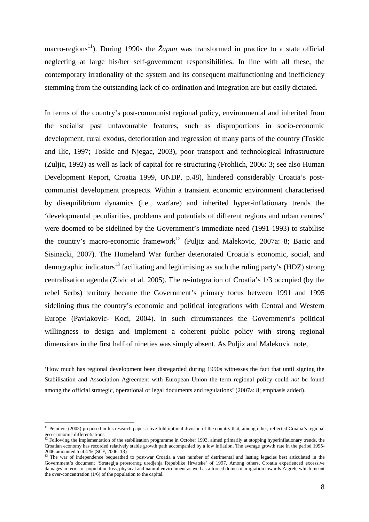macro-regions<sup>11</sup>). During 1990s the  $\tilde{Z}upan$  was transformed in practice to a state official neglecting at large his/her self-government responsibilities. In line with all these, the contemporary irrationality of the system and its consequent malfunctioning and inefficiency stemming from the outstanding lack of co-ordination and integration are but easily dictated.

In terms of the country's post-communist regional policy, environmental and inherited from the socialist past unfavourable features, such as disproportions in socio-economic development, rural exodus, deterioration and regression of many parts of the country (Toskic and Ilic, 1997; Toskic and Njegac, 2003), poor transport and technological infrastructure (Zuljic, 1992) as well as lack of capital for re-structuring (Frohlich, 2006: 3; see also Human Development Report, Croatia 1999, UNDP, p.48), hindered considerably Croatia's postcommunist development prospects. Within a transient economic environment characterised by disequilibrium dynamics (i.e., warfare) and inherited hyper-inflationary trends the 'developmental peculiarities, problems and potentials of different regions and urban centres' were doomed to be sidelined by the Government's immediate need (1991-1993) to stabilise the country's macro-economic framework<sup>12</sup> (Puliiz and Malekovic, 2007a: 8; Bacic and Sisinacki, 2007). The Homeland War further deteriorated Croatia's economic, social, and demographic indicators<sup>13</sup> facilitating and legitimising as such the ruling party's (HDZ) strong centralisation agenda (Zivic et al*.* 2005). The re-integration of Croatia's 1/3 occupied (by the rebel Serbs) territory became the Government's primary focus between 1991 and 1995 sidelining thus the country's economic and political integrations with Central and Western Europe (Pavlakovic- Koci, 2004). In such circumstances the Government's political willingness to design and implement a coherent public policy with strong regional dimensions in the first half of nineties was simply absent. As Puljiz and Malekovic note,

'How much has regional development been disregarded during 1990s witnesses the fact that until signing the Stabilisation and Association Agreement with European Union the term regional policy could *not* be found among the official strategic, operational or legal documents and regulations' (2007a: 8; emphasis added).

<sup>&</sup>lt;sup>11</sup> Pejnovic (2003) proposed in his research paper a five-fold optimal division of the country that, among other, reflected Croatia's regional geo-economic differentiations.<br><sup>12</sup> Following the implementation of the stabilisation programme in October 1993, aimed primarily at stopping hyperinflationary trends, the

Croatian economy has recorded relatively stable growth path accompanied by a low inflation. The average growth rate in the period 1995- 2006 amounted to 4.4 % (SCF, 2006: 13)<br><sup>13</sup> The war of independence bequeathed to post-war Croatia a vast number of detrimental and lasting legacies best articulated in the

Government's document 'Strategija prostornog uredjenja Republike Hrvatske' of 1997. Among others, Croatia experienced excessive damages in terms of population loss, physical and natural environment as well as a forced domestic migration towards Zagreb, which meant the over-concentration  $(1/6)$  of the population to the capital.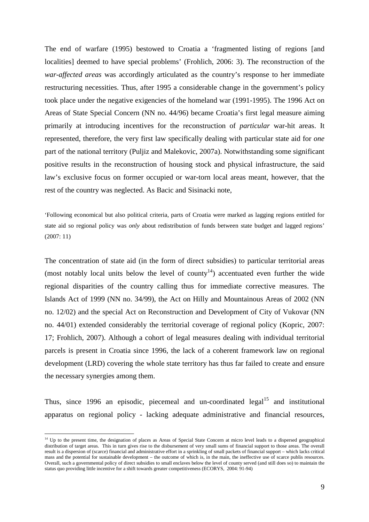The end of warfare (1995) bestowed to Croatia a 'fragmented listing of regions [and localities] deemed to have special problems' (Frohlich, 2006: 3). The reconstruction of the *war-affected areas* was accordingly articulated as the country's response to her immediate restructuring necessities. Thus, after 1995 a considerable change in the government's policy took place under the negative exigencies of the homeland war (1991-1995). The 1996 Act on Areas of State Special Concern (NN no. 44/96) became Croatia's first legal measure aiming primarily at introducing incentives for the reconstruction of *particular* war-hit areas. It represented, therefore, the very first law specifically dealing with particular state aid for *one*  part of the national territory (Puljiz and Malekovic, 2007a). Notwithstanding some significant positive results in the reconstruction of housing stock and physical infrastructure, the said law's exclusive focus on former occupied or war-torn local areas meant, however, that the rest of the country was neglected. As Bacic and Sisinacki note,

'Following economical but also political criteria, parts of Croatia were marked as lagging regions entitled for state aid so regional policy was *only* about redistribution of funds between state budget and lagged regions' (2007: 11)

The concentration of state aid (in the form of direct subsidies) to particular territorial areas (most notably local units below the level of county<sup>14</sup>) accentuated even further the wide regional disparities of the country calling thus for immediate corrective measures. The Islands Act of 1999 (NN no. 34/99), the Act on Hilly and Mountainous Areas of 2002 (NN no. 12/02) and the special Act on Reconstruction and Development of City of Vukovar (NN no. 44/01) extended considerably the territorial coverage of regional policy (Kopric, 2007: 17; Frohlich, 2007). Although a cohort of legal measures dealing with individual territorial parcels is present in Croatia since 1996, the lack of a coherent framework law on regional development (LRD) covering the whole state territory has thus far failed to create and ensure the necessary synergies among them.

Thus, since 1996 an episodic, piecemeal and un-coordinated  $\text{legal}^{15}$  and institutional apparatus on regional policy - lacking adequate administrative and financial resources,

<sup>&</sup>lt;sup>14</sup> Up to the present time, the designation of places as Areas of Special State Concern at micro level leads to a dispersed geographical distribution of target areas. This in turn gives rise to the disbursement of very small sums of financial support to those areas. The overall result is a dispersion of (scarce) financial and administrative effort in a sprinkling of small packets of financial support – which lacks critical mass and the potential for sustainable development – the outcome of which is, in the main, the ineffective use of scarce publis resources. Overall, such a governmental policy of direct subsidies to small enclaves below the level of county served (and still does so) to maintain the status quo providing little incentive for a shift towards greater competitiveness (ECORYS, 2004: 91-94)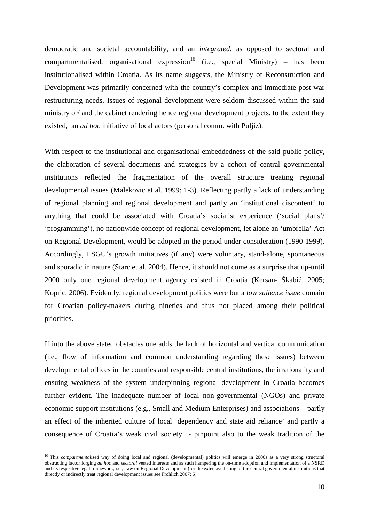democratic and societal accountability, and an *integrated*, as opposed to sectoral and compartmentalised, organisational expression<sup>16</sup> (i.e., special Ministry) – has been institutionalised within Croatia. As its name suggests, the Ministry of Reconstruction and Development was primarily concerned with the country's complex and immediate post-war restructuring needs. Issues of regional development were seldom discussed within the said ministry or/ and the cabinet rendering hence regional development projects, to the extent they existed, an *ad hoc* initiative of local actors (personal comm. with Puljiz).

With respect to the institutional and organisational embeddedness of the said public policy, the elaboration of several documents and strategies by a cohort of central governmental institutions reflected the fragmentation of the overall structure treating regional developmental issues (Malekovic et al*.* 1999: 1-3). Reflecting partly a lack of understanding of regional planning and regional development and partly an 'institutional discontent' to anything that could be associated with Croatia's socialist experience ('social plans'/ 'programming'), no nationwide concept of regional development, let alone an 'umbrella' Act on Regional Development, would be adopted in the period under consideration (1990-1999). Accordingly, LSGU's growth initiatives (if any) were voluntary, stand-alone, spontaneous and sporadic in nature (Starc et al. 2004). Hence, it should not come as a surprise that up-until 2000 only one regional development agency existed in Croatia (Kersan- Škabić, 2005; Kopric, 2006). Evidently, regional development politics were but a *low salience issue* domain for Croatian policy-makers during nineties and thus not placed among their political priorities.

If into the above stated obstacles one adds the lack of horizontal and vertical communication (i.e., flow of information and common understanding regarding these issues) between developmental offices in the counties and responsible central institutions, the irrationality and ensuing weakness of the system underpinning regional development in Croatia becomes further evident. The inadequate number of local non-governmental (NGOs) and private economic support institutions (e.g., Small and Medium Enterprises) and associations – partly an effect of the inherited culture of local 'dependency and state aid reliance' and partly a consequence of Croatia's weak civil society - pinpoint also to the weak tradition of the

<sup>&</sup>lt;sup>16</sup> This *compartmentalised* way of doing local and regional (developmental) politics will emerge in 2000s as a very strong structural obstructing factor forging *ad hoc* and *sectoral* vested interests and as such hampering the on-time adoption and implementation of a NSRD and its respective legal framework, i.e., Law on Regional Development (for the extensive listing of the central governmental institutions that directly or indirectly treat regional development issues see Frohlich 2007: 6).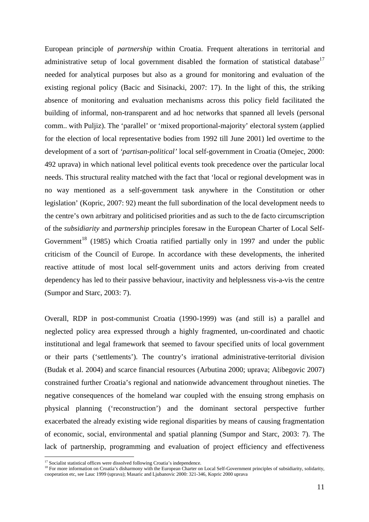European principle of *partnership* within Croatia. Frequent alterations in territorial and administrative setup of local government disabled the formation of statistical database<sup>17</sup> needed for analytical purposes but also as a ground for monitoring and evaluation of the existing regional policy (Bacic and Sisinacki, 2007: 17). In the light of this, the striking absence of monitoring and evaluation mechanisms across this policy field facilitated the building of informal, non-transparent and ad hoc networks that spanned all levels (personal comm.. with Puljiz). The 'parallel' or 'mixed proportional-majority' electoral system (applied for the election of local representative bodies from 1992 till June 2001) led overtime to the development of a sort of *'partisan-political'* local self-government in Croatia (Omejec, 2000: 492 uprava) in which national level political events took precedence over the particular local needs. This structural reality matched with the fact that 'local or regional development was in no way mentioned as a self-government task anywhere in the Constitution or other legislation' (Kopric, 2007: 92) meant the full subordination of the local development needs to the centre's own arbitrary and politicised priorities and as such to the de facto circumscription of the *subsidiarity* and *partnership* principles foresaw in the European Charter of Local Self-Government<sup>18</sup> (1985) which Croatia ratified partially only in 1997 and under the public criticism of the Council of Europe. In accordance with these developments, the inherited reactive attitude of most local self-government units and actors deriving from created dependency has led to their passive behaviour, inactivity and helplessness vis-a-vis the centre (Sumpor and Starc, 2003: 7).

Overall, RDP in post-communist Croatia (1990-1999) was (and still is) a parallel and neglected policy area expressed through a highly fragmented, un-coordinated and chaotic institutional and legal framework that seemed to favour specified units of local government or their parts ('settlements'). The country's irrational administrative-territorial division (Budak et al. 2004) and scarce financial resources (Arbutina 2000; uprava; Alibegovic 2007) constrained further Croatia's regional and nationwide advancement throughout nineties. The negative consequences of the homeland war coupled with the ensuing strong emphasis on physical planning ('reconstruction') and the dominant sectoral perspective further exacerbated the already existing wide regional disparities by means of causing fragmentation of economic, social, environmental and spatial planning (Sumpor and Starc, 2003: 7). The lack of partnership, programming and evaluation of project efficiency and effectiveness

<sup>&</sup>lt;sup>17</sup> Socialist statistical offices were dissolved following Croatia's independence.

<sup>&</sup>lt;sup>18</sup> For more information on Croatia's disharmony with the European Charter on Local Self-Government principles of subsidiarity, solidarity, cooperation etc, see Lauc 1999 (uprava); Masaric and Ljubanovic 2000: 321-346, Kopric 2000 uprava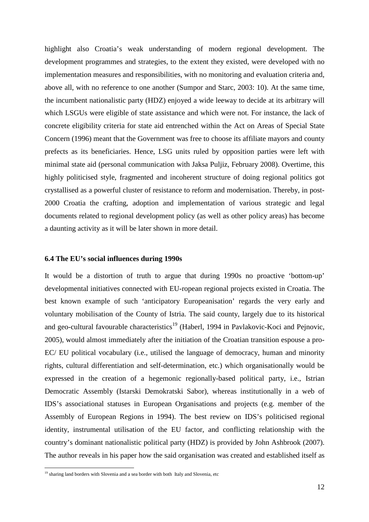highlight also Croatia's weak understanding of modern regional development. The development programmes and strategies, to the extent they existed, were developed with no implementation measures and responsibilities, with no monitoring and evaluation criteria and, above all, with no reference to one another (Sumpor and Starc, 2003: 10). At the same time, the incumbent nationalistic party (HDZ) enjoyed a wide leeway to decide at its arbitrary will which LSGUs were eligible of state assistance and which were not. For instance, the lack of concrete eligibility criteria for state aid entrenched within the Act on Areas of Special State Concern (1996) meant that the Government was free to choose its affiliate mayors and county prefects as its beneficiaries. Hence, LSG units ruled by opposition parties were left with minimal state aid (personal communication with Jaksa Puljiz, February 2008). Overtime, this highly politicised style, fragmented and incoherent structure of doing regional politics got crystallised as a powerful cluster of resistance to reform and modernisation. Thereby, in post-2000 Croatia the crafting, adoption and implementation of various strategic and legal documents related to regional development policy (as well as other policy areas) has become a daunting activity as it will be later shown in more detail.

### **6.4 The EU's social influences during 1990s**

It would be a distortion of truth to argue that during 1990s no proactive 'bottom-up' developmental initiatives connected with EU-ropean regional projects existed in Croatia. The best known example of such 'anticipatory Europeanisation' regards the very early and voluntary mobilisation of the County of Istria. The said county, largely due to its historical and geo-cultural favourable characteristics<sup>19</sup> (Haberl, 1994 in Pavlakovic-Koci and Pejnovic, 2005), would almost immediately after the initiation of the Croatian transition espouse a pro-EC/ EU political vocabulary (i.e., utilised the language of democracy, human and minority rights, cultural differentiation and self-determination, etc.) which organisationally would be expressed in the creation of a hegemonic regionally-based political party, i.e., Istrian Democratic Assembly (Istarski Demokratski Sabor), whereas institutionally in a web of IDS's associational statuses in European Organisations and projects (e.g. member of the Assembly of European Regions in 1994). The best review on IDS's politicised regional identity, instrumental utilisation of the EU factor, and conflicting relationship with the country's dominant nationalistic political party (HDZ) is provided by John Ashbrook (2007). The author reveals in his paper how the said organisation was created and established itself as

<sup>&</sup>lt;sup>19</sup> sharing land borders with Slovenia and a sea border with both Italy and Slovenia, etc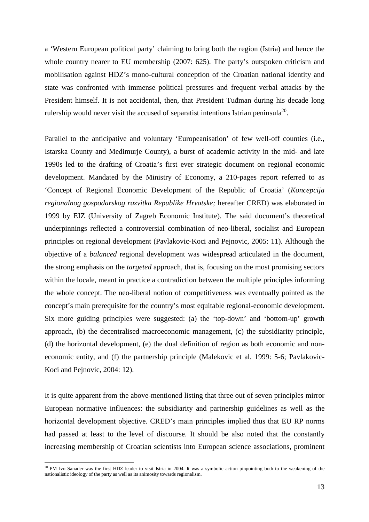a 'Western European political party' claiming to bring both the region (Istria) and hence the whole country nearer to EU membership (2007: 625). The party's outspoken criticism and mobilisation against HDZ's mono-cultural conception of the Croatian national identity and state was confronted with immense political pressures and frequent verbal attacks by the President himself. It is not accidental, then, that President Tuđman during his decade long rulership would never visit the accused of separatist intentions Istrian peninsula<sup>20</sup>.

Parallel to the anticipative and voluntary 'Europeanisation' of few well-off counties (i.e., Istarska County and Međimurje County), a burst of academic activity in the mid- and late 1990s led to the drafting of Croatia's first ever strategic document on regional economic development. Mandated by the Ministry of Economy, a 210-pages report referred to as 'Concept of Regional Economic Development of the Republic of Croatia' (*Koncepcija regionalnog gospodarskog razvitka Republike Hrvatske;* hereafter CRED) was elaborated in 1999 by EIZ (University of Zagreb Economic Institute). The said document's theoretical underpinnings reflected a controversial combination of neo-liberal, socialist and European principles on regional development (Pavlakovic-Koci and Pejnovic, 2005: 11). Although the objective of a *balanced* regional development was widespread articulated in the document, the strong emphasis on the *targeted* approach, that is, focusing on the most promising sectors within the locale, meant in practice a contradiction between the multiple principles informing the whole concept. The neo-liberal notion of competitiveness was eventually pointed as the concept's main prerequisite for the country's most equitable regional-economic development. Six more guiding principles were suggested: (a) the 'top-down' and 'bottom-up' growth approach, (b) the decentralised macroeconomic management, (c) the subsidiarity principle, (d) the horizontal development, (e) the dual definition of region as both economic and noneconomic entity, and (f) the partnership principle (Malekovic et al. 1999: 5-6; Pavlakovic-Koci and Pejnovic, 2004: 12).

It is quite apparent from the above-mentioned listing that three out of seven principles mirror European normative influences: the subsidiarity and partnership guidelines as well as the horizontal development objective. CRED's main principles implied thus that EU RP norms had passed at least to the level of discourse. It should be also noted that the constantly increasing membership of Croatian scientists into European science associations, prominent

 $20$  PM Ivo Sanader was the first HDZ leader to visit Istria in 2004. It was a symbolic action pinpointing both to the weakening of the nationalistic ideology of the party as well as its animosity towards regionalism.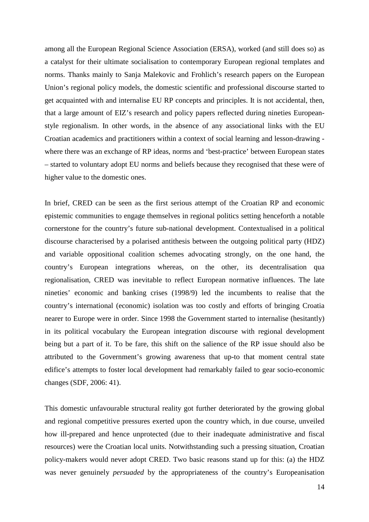among all the European Regional Science Association (ERSA), worked (and still does so) as a catalyst for their ultimate socialisation to contemporary European regional templates and norms. Thanks mainly to Sanja Malekovic and Frohlich's research papers on the European Union's regional policy models, the domestic scientific and professional discourse started to get acquainted with and internalise EU RP concepts and principles. It is not accidental, then, that a large amount of EIZ's research and policy papers reflected during nineties Europeanstyle regionalism. In other words, in the absence of any associational links with the EU Croatian academics and practitioners within a context of social learning and lesson-drawing where there was an exchange of RP ideas, norms and 'best-practice' between European states – started to voluntary adopt EU norms and beliefs because they recognised that these were of higher value to the domestic ones.

In brief, CRED can be seen as the first serious attempt of the Croatian RP and economic epistemic communities to engage themselves in regional politics setting henceforth a notable cornerstone for the country's future sub-national development. Contextualised in a political discourse characterised by a polarised antithesis between the outgoing political party (HDZ) and variable oppositional coalition schemes advocating strongly, on the one hand, the country's European integrations whereas, on the other, its decentralisation qua regionalisation, CRED was inevitable to reflect European normative influences. The late nineties' economic and banking crises (1998/9) led the incumbents to realise that the country's international (economic) isolation was too costly and efforts of bringing Croatia nearer to Europe were in order. Since 1998 the Government started to internalise (hesitantly) in its political vocabulary the European integration discourse with regional development being but a part of it. To be fare, this shift on the salience of the RP issue should also be attributed to the Government's growing awareness that up-to that moment central state edifice's attempts to foster local development had remarkably failed to gear socio-economic changes (SDF, 2006: 41).

This domestic unfavourable structural reality got further deteriorated by the growing global and regional competitive pressures exerted upon the country which, in due course, unveiled how ill-prepared and hence unprotected (due to their inadequate administrative and fiscal resources) were the Croatian local units. Notwithstanding such a pressing situation, Croatian policy-makers would never adopt CRED. Two basic reasons stand up for this: (a) the HDZ was never genuinely *persuaded* by the appropriateness of the country's Europeanisation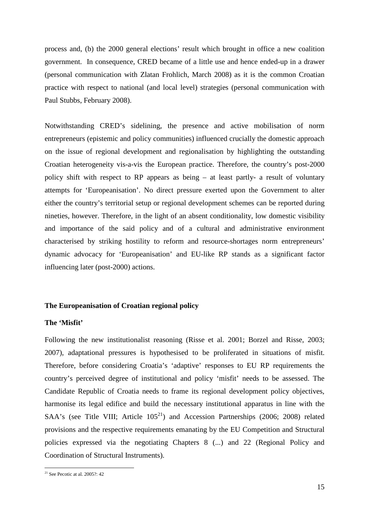process and, (b) the 2000 general elections' result which brought in office a new coalition government. In consequence, CRED became of a little use and hence ended-up in a drawer (personal communication with Zlatan Frohlich, March 2008) as it is the common Croatian practice with respect to national (and local level) strategies (personal communication with Paul Stubbs, February 2008).

Notwithstanding CRED's sidelining, the presence and active mobilisation of norm entrepreneurs (epistemic and policy communities) influenced crucially the domestic approach on the issue of regional development and regionalisation by highlighting the outstanding Croatian heterogeneity vis-a-vis the European practice. Therefore, the country's post-2000 policy shift with respect to RP appears as being – at least partly- a result of voluntary attempts for 'Europeanisation'. No direct pressure exerted upon the Government to alter either the country's territorial setup or regional development schemes can be reported during nineties, however. Therefore, in the light of an absent conditionality, low domestic visibility and importance of the said policy and of a cultural and administrative environment characterised by striking hostility to reform and resource-shortages norm entrepreneurs' dynamic advocacy for 'Europeanisation' and EU-like RP stands as a significant factor influencing later (post-2000) actions.

# **The Europeanisation of Croatian regional policy**

# **The 'Misfit'**

Following the new institutionalist reasoning (Risse et al. 2001; Borzel and Risse, 2003; 2007), adaptational pressures is hypothesised to be proliferated in situations of misfit. Therefore, before considering Croatia's 'adaptive' responses to EU RP requirements the country's perceived degree of institutional and policy 'misfit' needs to be assessed. The Candidate Republic of Croatia needs to frame its regional development policy objectives, harmonise its legal edifice and build the necessary institutional apparatus in line with the SAA's (see Title VIII; Article  $105^{21}$ ) and Accession Partnerships (2006; 2008) related provisions and the respective requirements emanating by the EU Competition and Structural policies expressed via the negotiating Chapters 8 (...) and 22 (Regional Policy and Coordination of Structural Instruments).

 $21$  See Pecotic at al. 2005?: 42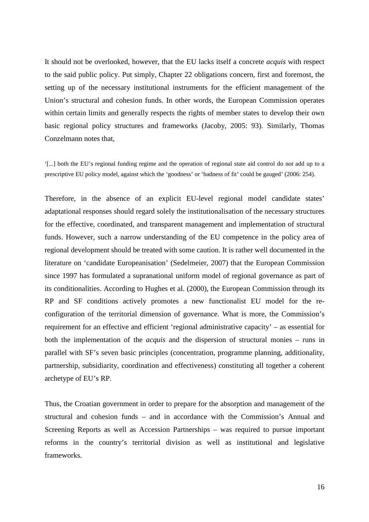It should not be overlooked, however, that the EU lacks itself a concrete *acquis* with respect to the said public policy. Put simply, Chapter 22 obligations concern, first and foremost, the setting up of the necessary institutional instruments for the efficient management of the Union's structural and cohesion funds. In other words, the European Commission operates within certain limits and generally respects the rights of member states to develop their own basic regional policy structures and frameworks (Jacoby, 2005: 93). Similarly, Thomas Conzelmann notes that,

'[...] both the EU's regional funding regime and the operation of regional state aid control do not add up to a prescriptive EU policy model, against which the 'goodness' or 'badness of fit' could be gauged' (2006: 254).

Therefore, in the absence of an explicit EU-level regional model candidate states' adaptational responses should regard solely the institutionalisation of the necessary structures for the effective, coordinated, and transparent management and implementation of structural funds. However, such a narrow understanding of the EU competence in the policy area of regional development should be treated with some caution. It is rather well documented in the literature on 'candidate Europeanisation' (Sedelmeier, 2007) that the European Commission since 1997 has formulated a supranational uniform model of regional governance as part of its conditionalities. According to Hughes et al. (2000), the European Commission through its RP and SF conditions actively promotes a new functionalist EU model for the reconfiguration of the territorial dimension of governance. What is more, the Commission's requirement for an effective and efficient 'regional administrative capacity' – as essential for both the implementation of the *acquis* and the dispersion of structural monies – runs in parallel with SF's seven basic principles (concentration, programme planning, additionality, partnership, subsidiarity, coordination and effectiveness) constituting all together a coherent archetype of EU's RP.

Thus, the Croatian government in order to prepare for the absorption and management of the structural and cohesion funds – and in accordance with the Commission's Annual and Screening Reports as well as Accession Partnerships – was required to pursue important reforms in the country's territorial division as well as institutional and legislative frameworks.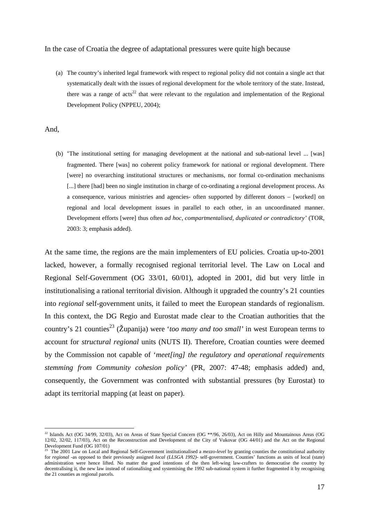## In the case of Croatia the degree of adaptational pressures were quite high because

(a) The country's inherited legal framework with respect to regional policy did not contain a single act that systematically dealt with the issues of regional development for the whole territory of the state. Instead, there was a range of acts<sup>22</sup> that were relevant to the regulation and implementation of the Regional Development Policy (NPPEU, 2004);

And,

 $\overline{a}$ 

(b) 'The institutional setting for managing development at the national and sub-national level ... [was] fragmented. There [was] no coherent policy framework for national or regional development. There [were] no overarching institutional structures or mechanisms, nor formal co-ordination mechanisms [...] there [had] been no single institution in charge of co-ordinating a regional development process. As a consequence, various ministries and agencies- often supported by different donors – [worked] on regional and local development issues in parallel to each other, in an uncoordinated manner. Development efforts [were] thus often *ad hoc*, *compartmentalised, duplicated or contradictory'* (TOR, 2003: 3; emphasis added).

At the same time, the regions are the main implementers of EU policies. Croatia up-to-2001 lacked, however, a formally recognised regional territorial level. The Law on Local and Regional Self-Government (OG 33/01, 60/01), adopted in 2001, did but very little in institutionalising a rational territorial division. Although it upgraded the country's 21 counties into *regional* self-government units, it failed to meet the European standards of regionalism. In this context, the DG Regio and Eurostat made clear to the Croatian authorities that the country's 21 counties<sup>23</sup> (Županija) were '*too many and too small'* in west European terms to account for *structural regional* units (NUTS II). Therefore, Croatian counties were deemed by the Commission not capable of '*meet[ing] the regulatory and operational requirements stemming from Community cohesion policy'* (PR, 2007: 47-48; emphasis added) and, consequently, the Government was confronted with substantial pressures (by Eurostat) to adapt its territorial mapping (at least on paper).

 $^{22}$  Islands Act (OG 34/99, 32/03), Act on Areas of State Special Concern (OG \*\*/96, 26/03), Act on Hilly and Mountainous Areas (OG 12/02, 32/02, 117/03), Act on the Reconstruction and Development of the City of Vukovar (OG 44/01) and the Act on the Regional Development Fund (OG 107/01)

<sup>&</sup>lt;sup>23</sup> The 2001 Law on Local and Regional Self-Government institutionalised a *mezzo-level* by granting counties the constitutional authority for *regional* -as opposed to their previously assigned *local (LLSGA 1992)-* self-government. Counties' functions as units of local (state) administration were hence lifted. No matter the good intentions of the then left-wing law-crafters to democratise the country by decentralising it, the new law instead of rationalising and systemising the 1992 sub-national system it further fragmented it by recognising the 21 counties as regional parcels.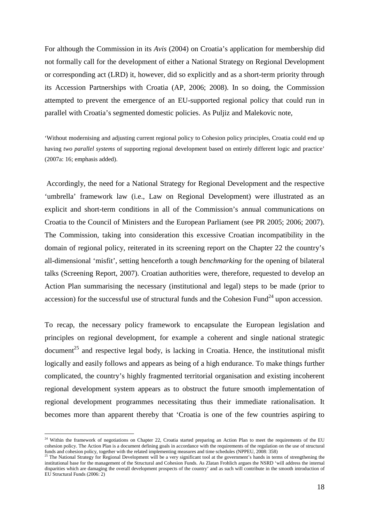For although the Commission in its *Avis* (2004) on Croatia's application for membership did not formally call for the development of either a National Strategy on Regional Development or corresponding act (LRD) it, however, did so explicitly and as a short-term priority through its Accession Partnerships with Croatia (AP, 2006; 2008). In so doing, the Commission attempted to prevent the emergence of an EU-supported regional policy that could run in parallel with Croatia's segmented domestic policies. As Puljiz and Malekovic note,

'Without modernising and adjusting current regional policy to Cohesion policy principles, Croatia could end up having *two parallel systems* of supporting regional development based on entirely different logic and practice' (2007a: 16; emphasis added).

 Accordingly, the need for a National Strategy for Regional Development and the respective 'umbrella' framework law (i.e., Law on Regional Development) were illustrated as an explicit and short-term conditions in all of the Commission's annual communications on Croatia to the Council of Ministers and the European Parliament (see PR 2005; 2006; 2007). The Commission, taking into consideration this excessive Croatian incompatibility in the domain of regional policy, reiterated in its screening report on the Chapter 22 the country's all-dimensional 'misfit', setting henceforth a tough *benchmarking* for the opening of bilateral talks (Screening Report, 2007). Croatian authorities were, therefore, requested to develop an Action Plan summarising the necessary (institutional and legal) steps to be made (prior to accession) for the successful use of structural funds and the Cohesion Fund<sup>24</sup> upon accession.

To recap, the necessary policy framework to encapsulate the European legislation and principles on regional development, for example a coherent and single national strategic document<sup>25</sup> and respective legal body, is lacking in Croatia. Hence, the institutional misfit logically and easily follows and appears as being of a high endurance. To make things further complicated, the country's highly fragmented territorial organisation and existing incoherent regional development system appears as to obstruct the future smooth implementation of regional development programmes necessitating thus their immediate rationalisation. It becomes more than apparent thereby that 'Croatia is one of the few countries aspiring to

<sup>&</sup>lt;sup>24</sup> Within the framework of negotiations on Chapter 22, Croatia started preparing an Action Plan to meet the requirements of the EU cohesion policy. The Action Plan is a document defining goals in accordance with the requirements of the regulation on the use of structural funds and cohesion policy, together with the related implementing measures and time schedules (NPPEU, 2008: 358)<br><sup>25</sup> The National Strategy for Regional Development will be a very significant tool at the government's hands

institutional base for the management of the Structural and Cohesion Funds. As Zlatan Frohlich argues the NSRD 'will address the internal disparities which are damaging the overall development prospects of the country' and as such will contribute in the smooth introduction of EU Structural Funds (2006: 2)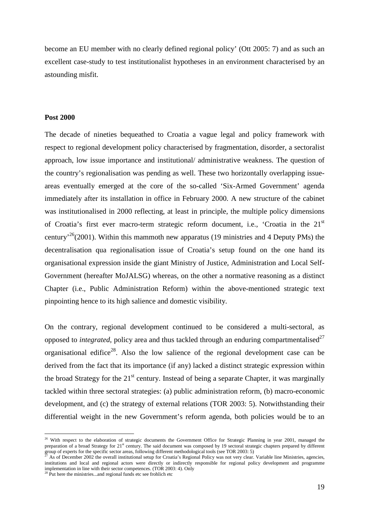become an EU member with no clearly defined regional policy' (Ott 2005: 7) and as such an excellent case-study to test institutionalist hypotheses in an environment characterised by an astounding misfit.

### **Post 2000**

The decade of nineties bequeathed to Croatia a vague legal and policy framework with respect to regional development policy characterised by fragmentation, disorder, a sectoralist approach, low issue importance and institutional/ administrative weakness. The question of the country's regionalisation was pending as well. These two horizontally overlapping issueareas eventually emerged at the core of the so-called 'Six-Armed Government' agenda immediately after its installation in office in February 2000. A new structure of the cabinet was institutionalised in 2000 reflecting, at least in principle, the multiple policy dimensions of Croatia's first ever macro-term strategic reform document, i.e., 'Croatia in the 21<sup>st</sup> century<sup>26</sup>(2001). Within this mammoth new apparatus (19 ministries and 4 Deputy PMs) the decentralisation qua regionalisation issue of Croatia's setup found on the one hand its organisational expression inside the giant Ministry of Justice, Administration and Local Self-Government (hereafter MoJALSG) whereas, on the other a normative reasoning as a distinct Chapter (i.e., Public Administration Reform) within the above-mentioned strategic text pinpointing hence to its high salience and domestic visibility.

On the contrary, regional development continued to be considered a multi-sectoral, as opposed to *integrated*, policy area and thus tackled through an enduring compartmentalised<sup>27</sup> organisational edifice<sup>28</sup>. Also the low salience of the regional development case can be derived from the fact that its importance (if any) lacked a distinct strategic expression within the broad Strategy for the 21<sup>st</sup> century. Instead of being a separate Chapter, it was marginally tackled within three sectoral strategies: (a) public administration reform, (b) macro-economic development, and (c) the strategy of external relations (TOR 2003: 5). Notwithstanding their differential weight in the new Government's reform agenda, both policies would be to an

<sup>&</sup>lt;sup>26</sup> With respect to the elaboration of strategic documents the Government Office for Strategic Planning in year 2001, managed the preparation of a broad Strategy for 21<sup>st</sup> century. The said document was composed by 19 sectoral strategic chapters prepared by different group of experts for the specific sector areas, following different methodological tools (see TOR 2003: 5)<br><sup>27</sup> As of December 2002 the overall institutional setup for Croatia's Regional Policy was not very clear. Variable

institutions and local and regional actors were directly or indirectly responsible for regional policy development and programme implementation in line with their sector competences. (TOR 2003: 4). Only <sup>28</sup> Put here the ministries...and regional funds etc see frohlich etc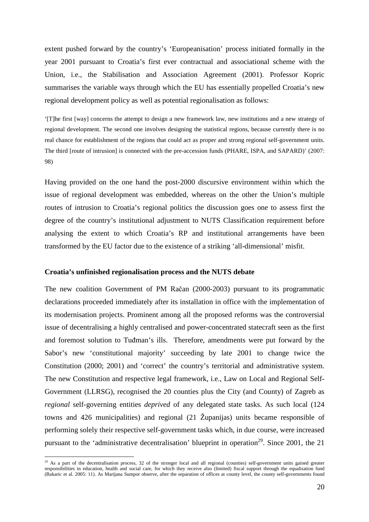extent pushed forward by the country's 'Europeanisation' process initiated formally in the year 2001 pursuant to Croatia's first ever contractual and associational scheme with the Union, i.e., the Stabilisation and Association Agreement (2001). Professor Kopric summarises the variable ways through which the EU has essentially propelled Croatia's new regional development policy as well as potential regionalisation as follows:

'[T]he first [way] concerns the attempt to design a new framework law, new institutions and a new strategy of regional development. The second one involves designing the statistical regions, because currently there is no real chance for establishment of the regions that could act as proper and strong regional self-government units. The third [route of intrusion] is connected with the pre-accession funds (PHARE, ISPA, and SAPARD)' (2007: 98)

Having provided on the one hand the post-2000 discursive environment within which the issue of regional development was embedded, whereas on the other the Union's multiple routes of intrusion to Croatia's regional politics the discussion goes one to assess first the degree of the country's institutional adjustment to NUTS Classification requirement before analysing the extent to which Croatia's RP and institutional arrangements have been transformed by the EU factor due to the existence of a striking 'all-dimensional' misfit.

## **Croatia's unfinished regionalisation process and the NUTS debate**

 $\overline{a}$ 

The new coalition Government of PM Račan (2000-2003) pursuant to its programmatic declarations proceeded immediately after its installation in office with the implementation of its modernisation projects. Prominent among all the proposed reforms was the controversial issue of decentralising a highly centralised and power-concentrated statecraft seen as the first and foremost solution to Tuđman's ills. Therefore, amendments were put forward by the Sabor's new 'constitutional majority' succeeding by late 2001 to change twice the Constitution (2000; 2001) and 'correct' the country's territorial and administrative system. The new Constitution and respective legal framework, i.e., Law on Local and Regional Self-Government (LLRSG), recognised the 20 counties plus the City (and County) of Zagreb as *regional* self-governing entities *deprived* of any delegated state tasks. As such local (124 towns and 426 municipalities) and regional (21 Županijas) units became responsible of performing solely their respective self-government tasks which, in due course, were increased pursuant to the 'administrative decentralisation' blueprint in operation<sup>29</sup>. Since 2001, the 21

 $^{29}$  As a part of the decentralisation process, 32 of the stronger local and all regional (counties) self-government units gained greater responsibilities in education, health and social care, for which they receive also (limited) fiscal support through the equalisation fund (Bakaric et al. 2005: 11). As Marijana Sumpor observe, after the separation of offices at county level, the county self-governments found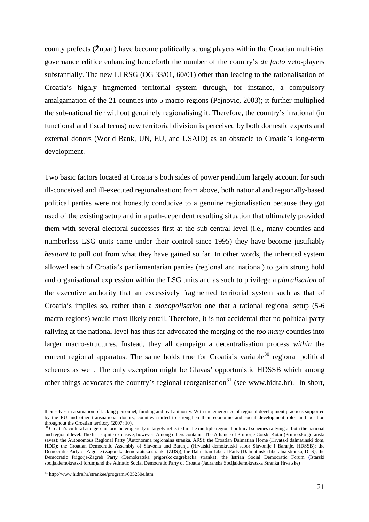county prefects (Župan) have become politically strong players within the Croatian multi-tier governance edifice enhancing henceforth the number of the country's *de facto* veto-players substantially. The new LLRSG (OG 33/01, 60/01) other than leading to the rationalisation of Croatia's highly fragmented territorial system through, for instance, a compulsory amalgamation of the 21 counties into 5 macro-regions (Pejnovic, 2003); it further multiplied the sub-national tier without genuinely regionalising it. Therefore, the country's irrational (in functional and fiscal terms) new territorial division is perceived by both domestic experts and external donors (World Bank, UN, EU, and USAID) as an obstacle to Croatia's long-term development.

Two basic factors located at Croatia's both sides of power pendulum largely account for such ill-conceived and ill-executed regionalisation: from above, both national and regionally-based political parties were not honestly conducive to a genuine regionalisation because they got used of the existing setup and in a path-dependent resulting situation that ultimately provided them with several electoral successes first at the sub-central level (i.e., many counties and numberless LSG units came under their control since 1995) they have become justifiably *hesitant* to pull out from what they have gained so far. In other words, the inherited system allowed each of Croatia's parliamentarian parties (regional and national) to gain strong hold and organisational expression within the LSG units and as such to privilege a *pluralisation* of the executive authority that an excessively fragmented territorial system such as that of Croatia's implies so, rather than a *monopolisation* one that a rational regional setup (5-6 macro-regions) would most likely entail. Therefore, it is not accidental that no political party rallying at the national level has thus far advocated the merging of the *too many* counties into larger macro-structures. Instead, they all campaign a decentralisation process *within* the current regional apparatus. The same holds true for Croatia's variable<sup>30</sup> regional political schemes as well. The only exception might be Glavas' opportunistic HDSSB which among other things advocates the country's regional reorganisation<sup>31</sup> (see www.hidra.hr). In short,

themselves in a situation of lacking personnel, funding and real authority. With the emergence of regional development practices supported by the EU and other transnational donors, counties started to strengthen their economic and social development roles and position throughout the Croatian territory (2007: 10).

 $30$  Croatia's cultural and geo-historic heterogeneity is largely reflected in the multiple regional political schemes rallying at both the national and regional level. The list is quite extensive, however. Among others contains: The Alliance of Primorje-Gorski Kotar (Primorsko goranski savez); the Autonomous Regional Party (Autonomna regionalna stranka, ARS); the Croatian Dalmatian Home (Hrvatski dalmatinski dom, HDD); the Croatian Democratic Assembly of Slavonia and Baranja (Hrvatski demokratski sabor Slavonije i Baranje, HDSSB); the Democratic Party of Zagorje (Zagorska demokratska stranka (ZDS)); the Dalmatian Liberal Party (Dalmatinska liberalna stranka, DLS); the Democratic Prigorje-Zagreb Party (Demokratska prigorsko-zagrebačka stranka); the Istrian Social Democratic Forum **(**Istarski socijaldemokratski forum)and the Adriatic Social Democratic Party of Croatia (Jadranska Socijaldemokratska Stranka Hrvatske)

<sup>31</sup> http://www.hidra.hr/strankee/programi/035250e.htm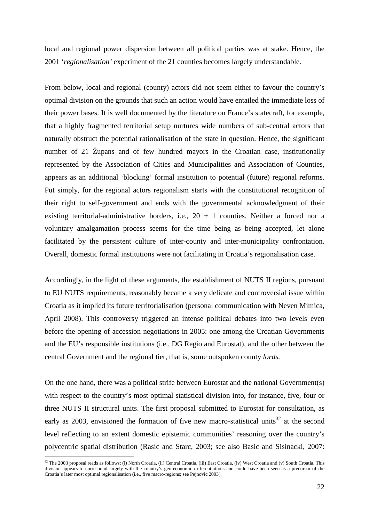local and regional power dispersion between all political parties was at stake. Hence, the 2001 '*regionalisation'* experiment of the 21 counties becomes largely understandable.

From below, local and regional (county) actors did not seem either to favour the country's optimal division on the grounds that such an action would have entailed the immediate loss of their power bases. It is well documented by the literature on France's statecraft, for example, that a highly fragmented territorial setup nurtures wide numbers of sub-central actors that naturally obstruct the potential rationalisation of the state in question. Hence, the significant number of 21 Župans and of few hundred mayors in the Croatian case, institutionally represented by the Association of Cities and Municipalities and Association of Counties, appears as an additional 'blocking' formal institution to potential (future) regional reforms. Put simply, for the regional actors regionalism starts with the constitutional recognition of their right to self-government and ends with the governmental acknowledgment of their existing territorial-administrative borders, i.e.,  $20 + 1$  counties. Neither a forced nor a voluntary amalgamation process seems for the time being as being accepted, let alone facilitated by the persistent culture of inter-county and inter-municipality confrontation. Overall, domestic formal institutions were not facilitating in Croatia's regionalisation case.

Accordingly, in the light of these arguments, the establishment of NUTS II regions, pursuant to EU NUTS requirements, reasonably became a very delicate and controversial issue within Croatia as it implied its future territorialisation (personal communication with Neven Mimica, April 2008). This controversy triggered an intense political debates into two levels even before the opening of accession negotiations in 2005: one among the Croatian Governments and the EU's responsible institutions (i.e., DG Regio and Eurostat), and the other between the central Government and the regional tier, that is, some outspoken county *lords.* 

On the one hand, there was a political strife between Eurostat and the national Government(s) with respect to the country's most optimal statistical division into, for instance, five, four or three NUTS II structural units. The first proposal submitted to Eurostat for consultation, as early as 2003, envisioned the formation of five new macro-statistical units $32$  at the second level reflecting to an extent domestic epistemic communities' reasoning over the country's polycentric spatial distribution (Rasic and Starc, 2003; see also Basic and Sisinacki, 2007:

<sup>&</sup>lt;sup>32</sup> The 2003 proposal reads as follows: (i) North Croatia, (ii) Central Croatia, (iii) East Croatia, (iv) West Croatia and (v) South Croatia. This division appears to correspond largely with the country's geo-economic differentiations and could have been seen as a precursor of the Croatia's later most optimal regionalisation (i.e., five macro-regions; see Pejnovic 2003).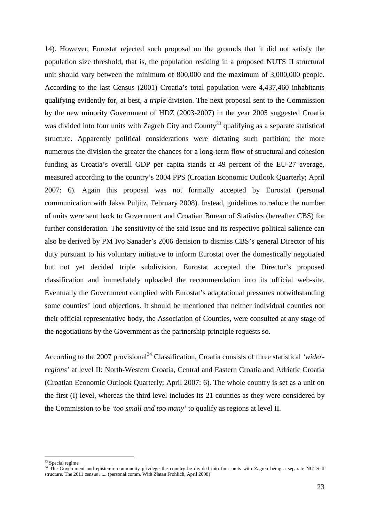14). However, Eurostat rejected such proposal on the grounds that it did not satisfy the population size threshold, that is, the population residing in a proposed NUTS II structural unit should vary between the minimum of 800,000 and the maximum of 3,000,000 people. According to the last Census (2001) Croatia's total population were 4,437,460 inhabitants qualifying evidently for, at best, a *triple* division. The next proposal sent to the Commission by the new minority Government of HDZ (2003-2007) in the year 2005 suggested Croatia was divided into four units with Zagreb City and County<sup>33</sup> qualifying as a separate statistical structure. Apparently political considerations were dictating such partition; the more numerous the division the greater the chances for a long-term flow of structural and cohesion funding as Croatia's overall GDP per capita stands at 49 percent of the EU-27 average, measured according to the country's 2004 PPS (Croatian Economic Outlook Quarterly; April 2007: 6). Again this proposal was not formally accepted by Eurostat (personal communication with Jaksa Puljitz, February 2008). Instead, guidelines to reduce the number of units were sent back to Government and Croatian Bureau of Statistics (hereafter CBS) for further consideration. The sensitivity of the said issue and its respective political salience can also be derived by PM Ivo Sanader's 2006 decision to dismiss CBS's general Director of his duty pursuant to his voluntary initiative to inform Eurostat over the domestically negotiated but not yet decided triple subdivision. Eurostat accepted the Director's proposed classification and immediately uploaded the recommendation into its official web-site. Eventually the Government complied with Eurostat's adaptational pressures notwithstanding some counties' loud objections. It should be mentioned that neither individual counties nor their official representative body, the Association of Counties, were consulted at any stage of the negotiations by the Government as the partnership principle requests so.

According to the 2007 provisional<sup>34</sup> Classification, Croatia consists of three statistical *'widerregions'* at level II: North-Western Croatia, Central and Eastern Croatia and Adriatic Croatia (Croatian Economic Outlook Quarterly; April 2007: 6). The whole country is set as a unit on the first (I) level, whereas the third level includes its 21 counties as they were considered by the Commission to be *'too small and too many'* to qualify as regions at level II.

<sup>&</sup>lt;sup>33</sup> Special regime

<sup>&</sup>lt;sup>34</sup> The Government and epistemic community privilege the country be divided into four units with Zagreb being a separate NUTS II structure. The 2011 census ...... (personal comm. With Zlatan Frohlich, April 2008)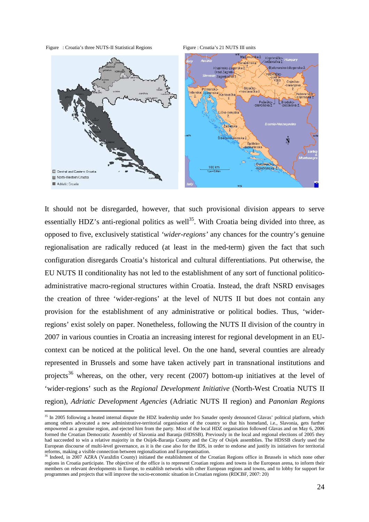Figure : Croatia's three NUTS-II Statistical Regions Figure : Croatia's 21 NUTS III units

 $\overline{a}$ 



It should not be disregarded, however, that such provisional division appears to serve essentially HDZ's anti-regional politics as well<sup>35</sup>. With Croatia being divided into three, as opposed to five, exclusively statistical *'wider-regions'* any chances for the country's genuine regionalisation are radically reduced (at least in the med-term) given the fact that such configuration disregards Croatia's historical and cultural differentiations. Put otherwise, the EU NUTS II conditionality has not led to the establishment of any sort of functional politicoadministrative macro-regional structures within Croatia. Instead, the draft NSRD envisages the creation of three 'wider-regions' at the level of NUTS II but does not contain any provision for the establishment of any administrative or political bodies. Thus, 'widerregions' exist solely on paper. Nonetheless, following the NUTS II division of the country in 2007 in various counties in Croatia an increasing interest for regional development in an EUcontext can be noticed at the political level. On the one hand, several counties are already represented in Brussels and some have taken actively part in transnational institutions and projects<sup>36</sup> whereas, on the other, very recent  $(2007)$  bottom-up initiatives at the level of 'wider-regions' such as the *Regional Development Initiative* (North-West Croatia NUTS II region), *Adriatic Development Agencies* (Adriatic NUTS II region) and *Panonian Regions* 

<sup>&</sup>lt;sup>35</sup> In 2005 following a heated internal dispute the HDZ leadership under Ivo Sanader openly denounced Glavas' political platform, which among others advocated a new administrative-territorial organisation of the country so that his homeland, i.e., Slavonia, gets further empowered as a genuine region, and ejected him from the party. Most of the local HDZ organisation followed Glavas and on May 6, 2006 formed the Croatian Democratic Assembly of Slavonia and Baranja (HDSSB). Previously in the local and regional elections of 2005 they had succeeded to win a relative majority in the Osijek-Baranja County and the City of Osijek assemblies. The HDSSB clearly used the European discourse of multi-level governance, as it is the case also for the IDS, in order to endorse and justify its initiatives for territorial reforms, making a visible connection between regionalisation and Europeanisation.

<sup>&</sup>lt;sup>36</sup> Indeed, in 2007 AZRA (Varaždin County) initiated the establishment of the Croatian Regions office in Brussels in which none other regions in Croatia participate. The objective of the office is to represent Croatian regions and towns in the European arena, to inform their members on relevant developments in Europe, to establish networks with other European regions and towns, and to lobby for support for programmes and projects that will improve the socio-economic situation in Croatian regions (RDCBF, 2007: 20)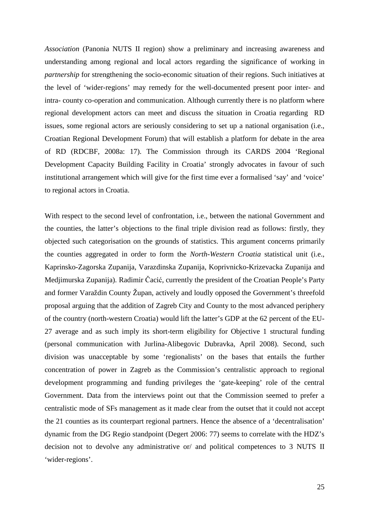*Association* (Panonia NUTS II region) show a preliminary and increasing awareness and understanding among regional and local actors regarding the significance of working in *partnership* for strengthening the socio-economic situation of their regions. Such initiatives at the level of 'wider-regions' may remedy for the well-documented present poor inter- and intra- county co-operation and communication. Although currently there is no platform where regional development actors can meet and discuss the situation in Croatia regarding RD issues, some regional actors are seriously considering to set up a national organisation (i.e., Croatian Regional Development Forum) that will establish a platform for debate in the area of RD (RDCBF, 2008a: 17). The Commission through its CARDS 2004 'Regional Development Capacity Building Facility in Croatia' strongly advocates in favour of such institutional arrangement which will give for the first time ever a formalised 'say' and 'voice' to regional actors in Croatia.

With respect to the second level of confrontation, i.e., between the national Government and the counties, the latter's objections to the final triple division read as follows: firstly, they objected such categorisation on the grounds of statistics. This argument concerns primarily the counties aggregated in order to form the *North-Western Croatia* statistical unit (i.e., Kaprinsko-Zagorska Zupanija, Varazdinska Zupanija, Koprivnicko-Krizevacka Zupanija and Medjimurska Zupanija). Radimir Čacić, currently the president of the Croatian People's Party and former Varaždin County Župan, actively and loudly opposed the Government's threefold proposal arguing that the addition of Zagreb City and County to the most advanced periphery of the country (north-western Croatia) would lift the latter's GDP at the 62 percent of the EU-27 average and as such imply its short-term eligibility for Objective 1 structural funding (personal communication with Jurlina-Alibegovic Dubravka, April 2008). Second, such division was unacceptable by some 'regionalists' on the bases that entails the further concentration of power in Zagreb as the Commission's centralistic approach to regional development programming and funding privileges the 'gate-keeping' role of the central Government. Data from the interviews point out that the Commission seemed to prefer a centralistic mode of SFs management as it made clear from the outset that it could not accept the 21 counties as its counterpart regional partners. Hence the absence of a 'decentralisation' dynamic from the DG Regio standpoint (Degert 2006: 77) seems to correlate with the HDZ's decision not to devolve any administrative or/ and political competences to 3 NUTS II 'wider-regions'.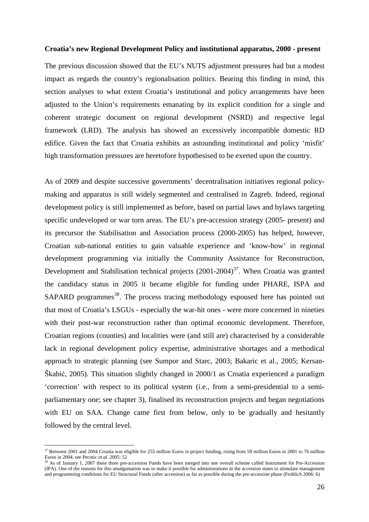## **Croatia's new Regional Development Policy and institutional apparatus, 2000 - present**

The previous discussion showed that the EU's NUTS adjustment pressures had but a modest impact as regards the country's regionalisation politics. Bearing this finding in mind, this section analyses to what extent Croatia's institutional and policy arrangements have been adjusted to the Union's requirements emanating by its explicit condition for a single and coherent strategic document on regional development (NSRD) and respective legal framework (LRD). The analysis has showed an excessively incompatible domestic RD edifice. Given the fact that Croatia exhibits an astounding institutional and policy 'misfit' high transformation pressures are heretofore hypothesised to be exerted upon the country.

As of 2009 and despite successive governments' decentralisation initiatives regional policymaking and apparatus is still widely segmented and centralised in Zagreb. Indeed, regional development policy is still implemented as before, based on partial laws and bylaws targeting specific undeveloped or war torn areas. The EU's pre-accession strategy (2005- present) and its precursor the Stabilisation and Association process (2000-2005) has helped, however, Croatian sub-national entities to gain valuable experience and 'know-how' in regional development programming via initially the Community Assistance for Reconstruction, Development and Stabilisation technical projects  $(2001-2004)^{37}$ . When Croatia was granted the candidacy status in 2005 it became eligible for funding under PHARE, ISPA and  $SAPARD$  programmes<sup>38</sup>. The process tracing methodology espoused here has pointed out that most of Croatia's LSGUs - especially the war-hit ones - were more concerned in nineties with their post-war reconstruction rather than optimal economic development. Therefore, Croatian regions (counties) and localities were (and still are) characterised by a considerable lack in regional development policy expertise, administrative shortages and a methodical approach to strategic planning (see Sumpor and Starc, 2003; Bakaric et al., 2005; Kersan-Škabić, 2005). This situation slightly changed in 2000/1 as Croatia experienced a paradigm 'correction' with respect to its political system (i.e., from a semi-presidential to a semiparliamentary one; see chapter 3), finalised its reconstruction projects and began negotiations with EU on SAA. Change came first from below, only to be gradually and hesitantly followed by the central level.

 $37$  Between 2001 and 2004 Croatia was eligible for 255 million Euros in project funding, rising from 58 million Euros in 2001 to 76 million Euros in 2004, see Pecotic *et al.* 2005: 52

<sup>&</sup>lt;sup>38</sup> As of January 1, 2007 these three pre-accession Funds have been merged into one overall scheme called Instrument for Pre-Accession (IPA). One of the reasons for this amalgamation was to make it possible for administrations in the accession states to stimulate management and programming conditions for EU Structural Funds (after accession) as far as possible during the pre-accession phase (Frohlich 2006: 6)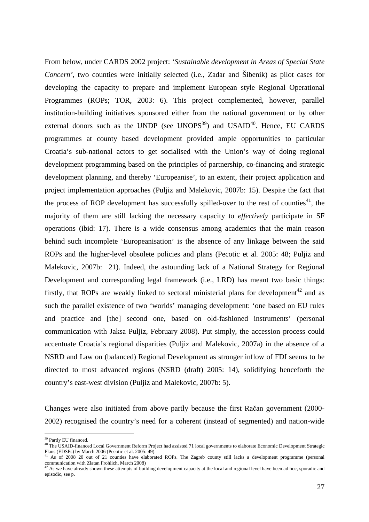From below, under CARDS 2002 project: '*Sustainable development in Areas of Special State Concern',* two counties were initially selected (i.e., Zadar and Šibenik) as pilot cases for developing the capacity to prepare and implement European style Regional Operational Programmes (ROPs; TOR, 2003: 6). This project complemented, however, parallel institution-building initiatives sponsored either from the national government or by other external donors such as the UNDP (see UNOPS $^{39}$ ) and USAID<sup>40</sup>. Hence, EU CARDS programmes at county based development provided ample opportunities to particular Croatia's sub-national actors to get socialised with the Union's way of doing regional development programming based on the principles of partnership, co-financing and strategic development planning, and thereby 'Europeanise', to an extent, their project application and project implementation approaches (Puljiz and Malekovic, 2007b: 15). Despite the fact that the process of ROP development has successfully spilled-over to the rest of counties<sup>41</sup>, the majority of them are still lacking the necessary capacity to *effectively* participate in SF operations (ibid: 17). There is a wide consensus among academics that the main reason behind such incomplete 'Europeanisation' is the absence of any linkage between the said ROPs and the higher-level obsolete policies and plans (Pecotic et al*.* 2005: 48; Puljiz and Malekovic, 2007b: 21). Indeed, the astounding lack of a National Strategy for Regional Development and corresponding legal framework (i.e., LRD) has meant two basic things: firstly, that ROPs are weakly linked to sectoral ministerial plans for development<sup>42</sup> and as such the parallel existence of two 'worlds' managing development: 'one based on EU rules and practice and [the] second one, based on old-fashioned instruments' (personal communication with Jaksa Puljiz, February 2008). Put simply, the accession process could accentuate Croatia's regional disparities (Puljiz and Malekovic, 2007a) in the absence of a NSRD and Law on (balanced) Regional Development as stronger inflow of FDI seems to be directed to most advanced regions (NSRD (draft) 2005: 14), solidifying henceforth the country's east-west division (Puljiz and Malekovic, 2007b: 5).

Changes were also initiated from above partly because the first Račan government (2000- 2002) recognised the country's need for a coherent (instead of segmented) and nation-wide

<sup>&</sup>lt;sup>39</sup> Partly EU financed.

<sup>&</sup>lt;sup>40</sup> The USAID-financed Local Government Reform Project had assisted 71 local governments to elaborate Economic Development Strategic Plans (EDSPs) by March 2006 (Pecotic et al. 2005: 49).

<sup>&</sup>lt;sup>41</sup> As of 2008 20 out of 21 counties have elaborated ROPs. The Zagreb county still lacks a development programme (personal communication with Zlatan Frohlich, March 2008)

 $42$  As we have already shown these attempts of building development capacity at the local and regional level have been ad hoc, sporadic and episodic, see p.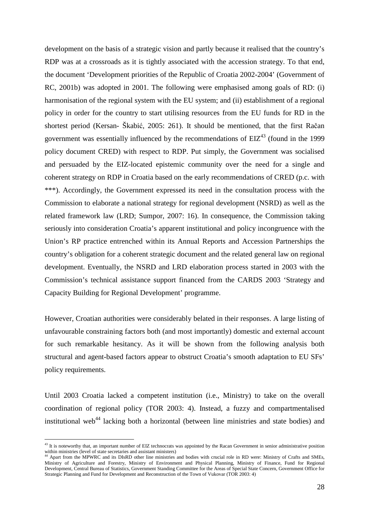development on the basis of a strategic vision and partly because it realised that the country's RDP was at a crossroads as it is tightly associated with the accession strategy. To that end, the document 'Development priorities of the Republic of Croatia 2002-2004' (Government of RC, 2001b) was adopted in 2001. The following were emphasised among goals of RD: (i) harmonisation of the regional system with the EU system; and (ii) establishment of a regional policy in order for the country to start utilising resources from the EU funds for RD in the shortest period (Kersan- Škabić, 2005: 261). It should be mentioned, that the first Račan government was essentially influenced by the recommendations of  $EIZ^{43}$  (found in the 1999 policy document CRED) with respect to RDP. Put simply, the Government was socialised and persuaded by the EIZ-located epistemic community over the need for a single and coherent strategy on RDP in Croatia based on the early recommendations of CRED (p.c. with \*\*\*). Accordingly, the Government expressed its need in the consultation process with the Commission to elaborate a national strategy for regional development (NSRD) as well as the related framework law (LRD; Sumpor, 2007: 16). In consequence, the Commission taking seriously into consideration Croatia's apparent institutional and policy incongruence with the Union's RP practice entrenched within its Annual Reports and Accession Partnerships the country's obligation for a coherent strategic document and the related general law on regional development. Eventually, the NSRD and LRD elaboration process started in 2003 with the Commission's technical assistance support financed from the CARDS 2003 'Strategy and Capacity Building for Regional Development' programme.

However, Croatian authorities were considerably belated in their responses. A large listing of unfavourable constraining factors both (and most importantly) domestic and external account for such remarkable hesitancy. As it will be shown from the following analysis both structural and agent-based factors appear to obstruct Croatia's smooth adaptation to EU SFs' policy requirements.

Until 2003 Croatia lacked a competent institution (i.e., Ministry) to take on the overall coordination of regional policy (TOR 2003: 4). Instead, a fuzzy and compartmentalised institutional web<sup>44</sup> lacking both a horizontal (between line ministries and state bodies) and

 $43$  It is noteworthy that, an important number of EIZ technocrats was appointed by the Racan Government in senior administrative position within ministries (level of state secretaries and assistant ministers)<br><sup>44</sup> Apart from the MPWRC and its DIsRD other line ministries and bodies with crucial role in RD were: Ministry of Crafts and SMEs,

Ministry of Agriculture and Forestry, Ministry of Environment and Physical Planning, Ministry of Finance, Fund for Regional Development, Central Bureau of Statistics, Government Standing Committee for the Areas of Special State Concern, Government Office for Strategic Planning and Fund for Development and Reconstruction of the Town of Vukovar (TOR 2003: 4)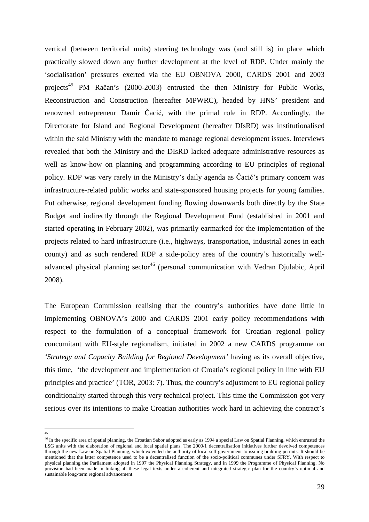vertical (between territorial units) steering technology was (and still is) in place which practically slowed down any further development at the level of RDP. Under mainly the 'socialisation' pressures exerted via the EU OBNOVA 2000, CARDS 2001 and 2003 projects<sup>45</sup> PM Račan's (2000-2003) entrusted the then Ministry for Public Works, Reconstruction and Construction (hereafter MPWRC), headed by HNS' president and renowned entrepreneur Damir Čacić, with the primal role in RDP. Accordingly, the Directorate for Island and Regional Development (hereafter DIsRD) was institutionalised within the said Ministry with the mandate to manage regional development issues. Interviews revealed that both the Ministry and the DIsRD lacked adequate administrative resources as well as know-how on planning and programming according to EU principles of regional policy. RDP was very rarely in the Ministry's daily agenda as Čacić's primary concern was infrastructure-related public works and state-sponsored housing projects for young families. Put otherwise, regional development funding flowing downwards both directly by the State Budget and indirectly through the Regional Development Fund (established in 2001 and started operating in February 2002), was primarily earmarked for the implementation of the projects related to hard infrastructure (i.e., highways, transportation, industrial zones in each county) and as such rendered RDP a side-policy area of the country's historically welladvanced physical planning sector<sup>46</sup> (personal communication with Vedran Djulabic, April 2008).

The European Commission realising that the country's authorities have done little in implementing OBNOVA's 2000 and CARDS 2001 early policy recommendations with respect to the formulation of a conceptual framework for Croatian regional policy concomitant with EU-style regionalism, initiated in 2002 a new CARDS programme on *'Strategy and Capacity Building for Regional Development'* having as its overall objective, this time, 'the development and implementation of Croatia's regional policy in line with EU principles and practice' (TOR, 2003: 7). Thus, the country's adjustment to EU regional policy conditionality started through this very technical project. This time the Commission got very serious over its intentions to make Croatian authorities work hard in achieving the contract's

 45

<sup>45&</sup>lt;br><sup>46</sup> In the specific area of spatial planning, the Croatian Sabor adopted as early as 1994 a special Law on Spatial Planning, which entrusted the LSG units with the elaboration of regional and local spatial plans. The 2000/1 decentralisation initiatives further devolved competences through the new Law on Spatial Planning, which extended the authority of local self-government to issuing building permits. It should be mentioned that the latter competence used to be a decentralised function of the socio-political communes under SFRY. With respect to physical planning the Parliament adopted in 1997 the Physical Planning Strategy, and in 1999 the Programme of Physical Planning. No provision had been made in linking all these legal texts under a coherent and integrated strategic plan for the country's optimal and sustainable long-term regional advancement.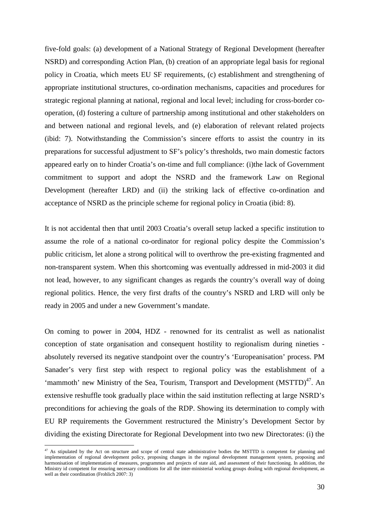five-fold goals: (a) development of a National Strategy of Regional Development (hereafter NSRD) and corresponding Action Plan, (b) creation of an appropriate legal basis for regional policy in Croatia, which meets EU SF requirements, (c) establishment and strengthening of appropriate institutional structures, co-ordination mechanisms, capacities and procedures for strategic regional planning at national, regional and local level; including for cross-border cooperation, (d) fostering a culture of partnership among institutional and other stakeholders on and between national and regional levels, and (e) elaboration of relevant related projects (ibid: 7). Notwithstanding the Commission's sincere efforts to assist the country in its preparations for successful adjustment to SF's policy's thresholds, two main domestic factors appeared early on to hinder Croatia's on-time and full compliance: (i)the lack of Government commitment to support and adopt the NSRD and the framework Law on Regional Development (hereafter LRD) and (ii) the striking lack of effective co-ordination and acceptance of NSRD as the principle scheme for regional policy in Croatia (ibid: 8).

It is not accidental then that until 2003 Croatia's overall setup lacked a specific institution to assume the role of a national co-ordinator for regional policy despite the Commission's public criticism, let alone a strong political will to overthrow the pre-existing fragmented and non-transparent system. When this shortcoming was eventually addressed in mid-2003 it did not lead, however, to any significant changes as regards the country's overall way of doing regional politics. Hence, the very first drafts of the country's NSRD and LRD will only be ready in 2005 and under a new Government's mandate.

On coming to power in 2004, HDZ - renowned for its centralist as well as nationalist conception of state organisation and consequent hostility to regionalism during nineties absolutely reversed its negative standpoint over the country's 'Europeanisation' process. PM Sanader's very first step with respect to regional policy was the establishment of a 'mammoth' new Ministry of the Sea, Tourism, Transport and Development  $(MSTTD)^{47}$ . An extensive reshuffle took gradually place within the said institution reflecting at large NSRD's preconditions for achieving the goals of the RDP. Showing its determination to comply with EU RP requirements the Government restructured the Ministry's Development Sector by dividing the existing Directorate for Regional Development into two new Directorates: (i) the

 $47$  As stipulated by the Act on structure and scope of central state administrative bodies the MSTTD is competent for planning and implementation of regional development policy, proposing changes in the regional development management system, proposing and harmonisation of implementation of measures, programmes and projects of state aid, and assessment of their functioning. In addition, the Ministry id competent for ensuring necessary conditions for all the inter-ministerial working groups dealing with regional development, as well as their coordination (Frohlich 2007: 3)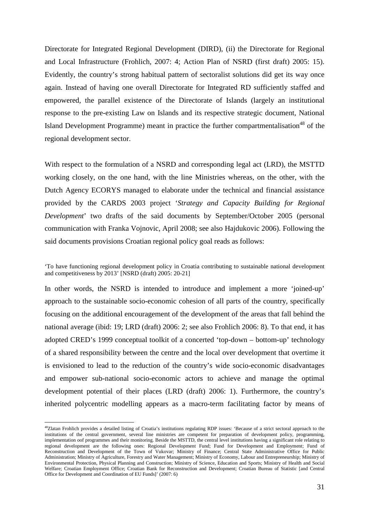Directorate for Integrated Regional Development (DIRD), (ii) the Directorate for Regional and Local Infrastructure (Frohlich, 2007: 4; Action Plan of NSRD (first draft) 2005: 15). Evidently, the country's strong habitual pattern of sectoralist solutions did get its way once again. Instead of having one overall Directorate for Integrated RD sufficiently staffed and empowered, the parallel existence of the Directorate of Islands (largely an institutional response to the pre-existing Law on Islands and its respective strategic document, National Island Development Programme) meant in practice the further compartmentalisation<sup>48</sup> of the regional development sector.

With respect to the formulation of a NSRD and corresponding legal act (LRD), the MSTTD working closely, on the one hand, with the line Ministries whereas, on the other, with the Dutch Agency ECORYS managed to elaborate under the technical and financial assistance provided by the CARDS 2003 project '*Strategy and Capacity Building for Regional Development*' two drafts of the said documents by September/October 2005 (personal communication with Franka Vojnovic, April 2008; see also Hajdukovic 2006). Following the said documents provisions Croatian regional policy goal reads as follows:

In other words, the NSRD is intended to introduce and implement a more 'joined-up' approach to the sustainable socio-economic cohesion of all parts of the country, specifically focusing on the additional encouragement of the development of the areas that fall behind the national average (ibid: 19; LRD (draft) 2006: 2; see also Frohlich 2006: 8). To that end, it has adopted CRED's 1999 conceptual toolkit of a concerted 'top-down – bottom-up' technology of a shared responsibility between the centre and the local over development that overtime it is envisioned to lead to the reduction of the country's wide socio-economic disadvantages and empower sub-national socio-economic actors to achieve and manage the optimal development potential of their places (LRD (draft) 2006: 1). Furthermore, the country's inherited polycentric modelling appears as a macro-term facilitating factor by means of

<sup>&#</sup>x27;To have functioning regional development policy in Croatia contributing to sustainable national development and competitiveness by 2013' [NSRD (draft) 2005: 20-21]

<sup>48</sup>Zlatan Frohlich provides a detailed listing of Croatia's institutions regulating RDP issues: 'Because of a strict sectoral approach to the institutions of the central government, several line ministries are competent for preparation of development policy, programming, implementation oof programmes and their monitoring. Beside the MSTTD, the central level institutions having a significant role relating to regional development are the following ones: Regional Development Fund; Fund for Development and Employment; Fund of Reconstruction and Development of the Town of Vukovar; Ministry of Finance; Central State Administrative Office for Public Administration; Ministry of Agriculture, Forestry and Water Management; Ministry of Economy, Labour and Entrepreneurship; Ministry of Environmental Protection, Physical Planning and Construction; Ministry of Science, Education and Sports; Ministry of Health and Social Welfare; Croatian Employment Office; Croatian Bank for Reconstruction and Development; Croatian Bureau of Statistic [and Central Office for Development and Coordination of EU Funds]' (2007: 6)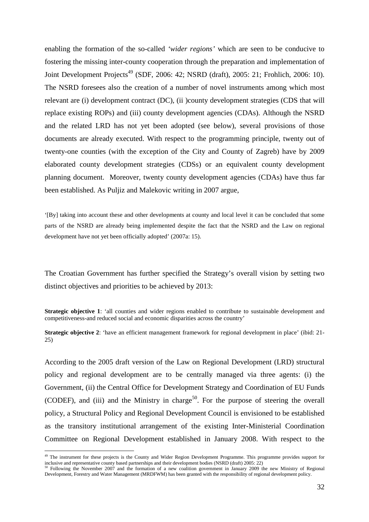enabling the formation of the so-called *'wider regions'* which are seen to be conducive to fostering the missing inter-county cooperation through the preparation and implementation of Joint Development Projects<sup>49</sup> (SDF, 2006: 42; NSRD (draft), 2005: 21; Frohlich, 2006: 10). The NSRD foresees also the creation of a number of novel instruments among which most relevant are (i) development contract (DC), (ii )county development strategies (CDS that will replace existing ROPs) and (iii) county development agencies (CDAs). Although the NSRD and the related LRD has not yet been adopted (see below), several provisions of those documents are already executed. With respect to the programming principle, twenty out of twenty-one counties (with the exception of the City and County of Zagreb) have by 2009 elaborated county development strategies (CDSs) or an equivalent county development planning document. Moreover, twenty county development agencies (CDAs) have thus far been established. As Puljiz and Malekovic writing in 2007 argue,

'[By] taking into account these and other developments at county and local level it can be concluded that some parts of the NSRD are already being implemented despite the fact that the NSRD and the Law on regional development have not yet been officially adopted' (2007a: 15).

The Croatian Government has further specified the Strategy's overall vision by setting two distinct objectives and priorities to be achieved by 2013:

**Strategic objective 1:** 'all counties and wider regions enabled to contribute to sustainable development and competitiveness-and reduced social and economic disparities across the country'

**Strategic objective 2**: 'have an efficient management framework for regional development in place' (ibid: 21- 25)

According to the 2005 draft version of the Law on Regional Development (LRD) structural policy and regional development are to be centrally managed via three agents: (i) the Government, (ii) the Central Office for Development Strategy and Coordination of EU Funds (CODEF), and (iii) and the Ministry in charge<sup>50</sup>. For the purpose of steering the overall policy, a Structural Policy and Regional Development Council is envisioned to be established as the transitory institutional arrangement of the existing Inter-Ministerial Coordination Committee on Regional Development established in January 2008. With respect to the

<sup>&</sup>lt;sup>49</sup> The instrument for these projects is the County and Wider Region Development Programme. This programme provides support for inclusive and representative county based partnerships and their development bodies (NSRD (draft) 2005: 22)

<sup>&</sup>lt;sup>50</sup> Following the November 2007 and the formation of a new coalition government in January 2009 the new Ministry of Regional Development, Forestry and Water Management (MRDFWM) has been granted with the responsibility of regional development policy.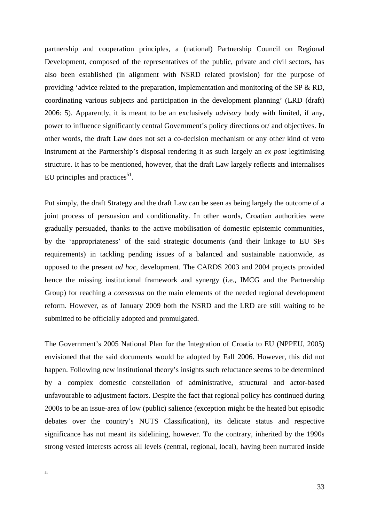partnership and cooperation principles, a (national) Partnership Council on Regional Development, composed of the representatives of the public, private and civil sectors, has also been established (in alignment with NSRD related provision) for the purpose of providing 'advice related to the preparation, implementation and monitoring of the SP & RD, coordinating various subjects and participation in the development planning' (LRD (draft) 2006: 5). Apparently, it is meant to be an exclusively *advisory* body with limited, if any, power to influence significantly central Government's policy directions or/ and objectives. In other words, the draft Law does not set a co-decision mechanism or any other kind of veto instrument at the Partnership's disposal rendering it as such largely an *ex post* legitimising structure. It has to be mentioned, however, that the draft Law largely reflects and internalises EU principles and practices<sup>51</sup>.

Put simply, the draft Strategy and the draft Law can be seen as being largely the outcome of a joint process of persuasion and conditionality. In other words, Croatian authorities were gradually persuaded, thanks to the active mobilisation of domestic epistemic communities, by the 'appropriateness' of the said strategic documents (and their linkage to EU SFs requirements) in tackling pending issues of a balanced and sustainable nationwide, as opposed to the present *ad hoc*, development. The CARDS 2003 and 2004 projects provided hence the missing institutional framework and synergy (i.e., IMCG and the Partnership Group) for reaching a *consensus* on the main elements of the needed regional development reform. However, as of January 2009 both the NSRD and the LRD are still waiting to be submitted to be officially adopted and promulgated.

The Government's 2005 National Plan for the Integration of Croatia to EU (NPPEU, 2005) envisioned that the said documents would be adopted by Fall 2006. However, this did not happen. Following new institutional theory's insights such reluctance seems to be determined by a complex domestic constellation of administrative, structural and actor-based unfavourable to adjustment factors. Despite the fact that regional policy has continued during 2000s to be an issue-area of low (public) salience (exception might be the heated but episodic debates over the country's NUTS Classification), its delicate status and respective significance has not meant its sidelining, however. To the contrary, inherited by the 1990s strong vested interests across all levels (central, regional, local), having been nurtured inside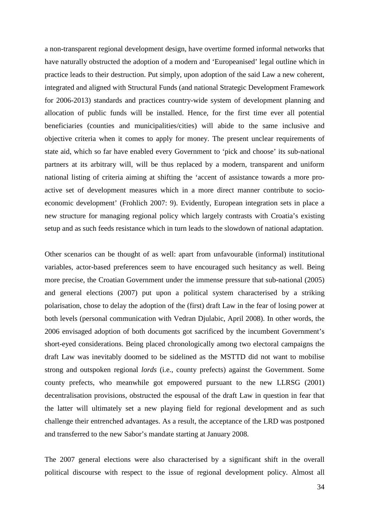a non-transparent regional development design, have overtime formed informal networks that have naturally obstructed the adoption of a modern and 'Europeanised' legal outline which in practice leads to their destruction. Put simply, upon adoption of the said Law a new coherent, integrated and aligned with Structural Funds (and national Strategic Development Framework for 2006-2013) standards and practices country-wide system of development planning and allocation of public funds will be installed. Hence, for the first time ever all potential beneficiaries (counties and municipalities/cities) will abide to the same inclusive and objective criteria when it comes to apply for money. The present unclear requirements of state aid, which so far have enabled every Government to 'pick and choose' its sub-national partners at its arbitrary will, will be thus replaced by a modern, transparent and uniform national listing of criteria aiming at shifting the 'accent of assistance towards a more proactive set of development measures which in a more direct manner contribute to socioeconomic development' (Frohlich 2007: 9). Evidently, European integration sets in place a new structure for managing regional policy which largely contrasts with Croatia's existing setup and as such feeds resistance which in turn leads to the slowdown of national adaptation.

Other scenarios can be thought of as well: apart from unfavourable (informal) institutional variables, actor-based preferences seem to have encouraged such hesitancy as well. Being more precise, the Croatian Government under the immense pressure that sub-national (2005) and general elections (2007) put upon a political system characterised by a striking polarisation, chose to delay the adoption of the (first) draft Law in the fear of losing power at both levels (personal communication with Vedran Djulabic, April 2008). In other words, the 2006 envisaged adoption of both documents got sacrificed by the incumbent Government's short-eyed considerations. Being placed chronologically among two electoral campaigns the draft Law was inevitably doomed to be sidelined as the MSTTD did not want to mobilise strong and outspoken regional *lords* (i.e., county prefects) against the Government. Some county prefects, who meanwhile got empowered pursuant to the new LLRSG (2001) decentralisation provisions, obstructed the espousal of the draft Law in question in fear that the latter will ultimately set a new playing field for regional development and as such challenge their entrenched advantages. As a result, the acceptance of the LRD was postponed and transferred to the new Sabor's mandate starting at January 2008.

The 2007 general elections were also characterised by a significant shift in the overall political discourse with respect to the issue of regional development policy. Almost all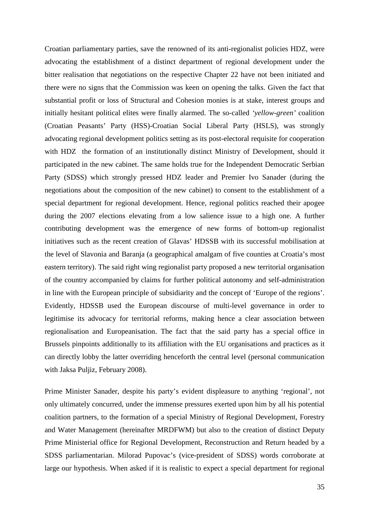Croatian parliamentary parties, save the renowned of its anti-regionalist policies HDZ, were advocating the establishment of a distinct department of regional development under the bitter realisation that negotiations on the respective Chapter 22 have not been initiated and there were no signs that the Commission was keen on opening the talks. Given the fact that substantial profit or loss of Structural and Cohesion monies is at stake, interest groups and initially hesitant political elites were finally alarmed. The so-called *'yellow-green'* coalition (Croatian Peasants' Party (HSS)-Croatian Social Liberal Party (HSLS), was strongly advocating regional development politics setting as its post-electoral requisite for cooperation with HDZ the formation of an institutionally distinct Ministry of Development, should it participated in the new cabinet. The same holds true for the Independent Democratic Serbian Party (SDSS) which strongly pressed HDZ leader and Premier Ivo Sanader (during the negotiations about the composition of the new cabinet) to consent to the establishment of a special department for regional development. Hence, regional politics reached their apogee during the 2007 elections elevating from a low salience issue to a high one. A further contributing development was the emergence of new forms of bottom-up regionalist initiatives such as the recent creation of Glavas' HDSSB with its successful mobilisation at the level of Slavonia and Baranja (a geographical amalgam of five counties at Croatia's most eastern territory). The said right wing regionalist party proposed a new territorial organisation of the country accompanied by claims for further political autonomy and self-administration in line with the European principle of subsidiarity and the concept of 'Europe of the regions'. Evidently, HDSSB used the European discourse of multi-level governance in order to legitimise its advocacy for territorial reforms, making hence a clear association between regionalisation and Europeanisation. The fact that the said party has a special office in Brussels pinpoints additionally to its affiliation with the EU organisations and practices as it can directly lobby the latter overriding henceforth the central level (personal communication with Jaksa Puljiz, February 2008).

Prime Minister Sanader, despite his party's evident displeasure to anything 'regional', not only ultimately concurred, under the immense pressures exerted upon him by all his potential coalition partners, to the formation of a special Ministry of Regional Development, Forestry and Water Management (hereinafter MRDFWM) but also to the creation of distinct Deputy Prime Ministerial office for Regional Development, Reconstruction and Return headed by a SDSS parliamentarian. Milorad Pupovac's (vice-president of SDSS) words corroborate at large our hypothesis. When asked if it is realistic to expect a special department for regional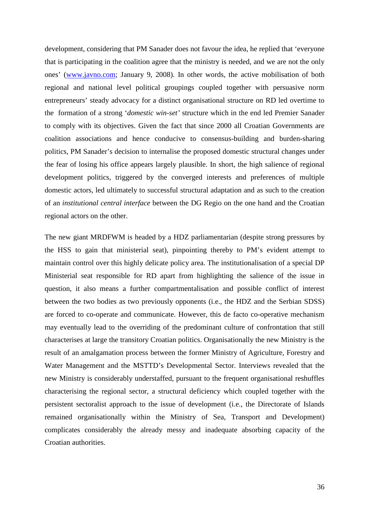development, considering that PM Sanader does not favour the idea, he replied that 'everyone that is participating in the coalition agree that the ministry is needed, and we are not the only ones' (www.javno.com; January 9, 2008). In other words, the active mobilisation of both regional and national level political groupings coupled together with persuasive norm entrepreneurs' steady advocacy for a distinct organisational structure on RD led overtime to the formation of a strong '*domestic win-set'* structure which in the end led Premier Sanader to comply with its objectives. Given the fact that since 2000 all Croatian Governments are coalition associations and hence conducive to consensus-building and burden-sharing politics, PM Sanader's decision to internalise the proposed domestic structural changes under the fear of losing his office appears largely plausible. In short, the high salience of regional development politics, triggered by the converged interests and preferences of multiple domestic actors, led ultimately to successful structural adaptation and as such to the creation of an *institutional central interface* between the DG Regio on the one hand and the Croatian regional actors on the other.

The new giant MRDFWM is headed by a HDZ parliamentarian (despite strong pressures by the HSS to gain that ministerial seat), pinpointing thereby to PM's evident attempt to maintain control over this highly delicate policy area. The institutionalisation of a special DP Ministerial seat responsible for RD apart from highlighting the salience of the issue in question, it also means a further compartmentalisation and possible conflict of interest between the two bodies as two previously opponents (i.e., the HDZ and the Serbian SDSS) are forced to co-operate and communicate. However, this de facto co-operative mechanism may eventually lead to the overriding of the predominant culture of confrontation that still characterises at large the transitory Croatian politics. Organisationally the new Ministry is the result of an amalgamation process between the former Ministry of Agriculture, Forestry and Water Management and the MSTTD's Developmental Sector. Interviews revealed that the new Ministry is considerably understaffed, pursuant to the frequent organisational reshuffles characterising the regional sector, a structural deficiency which coupled together with the persistent sectoralist approach to the issue of development (i.e., the Directorate of Islands remained organisationally within the Ministry of Sea, Transport and Development) complicates considerably the already messy and inadequate absorbing capacity of the Croatian authorities.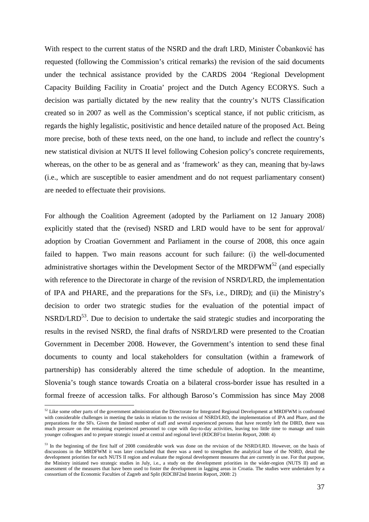With respect to the current status of the NSRD and the draft LRD, Minister Čobanković has requested (following the Commission's critical remarks) the revision of the said documents under the technical assistance provided by the CARDS 2004 'Regional Development Capacity Building Facility in Croatia' project and the Dutch Agency ECORYS. Such a decision was partially dictated by the new reality that the country's NUTS Classification created so in 2007 as well as the Commission's sceptical stance, if not public criticism, as regards the highly legalistic, positivistic and hence detailed nature of the proposed Act. Being more precise, both of these texts need, on the one hand, to include and reflect the country's new statistical division at NUTS II level following Cohesion policy's concrete requirements, whereas, on the other to be as general and as 'framework' as they can, meaning that by-laws (i.e., which are susceptible to easier amendment and do not request parliamentary consent) are needed to effectuate their provisions.

For although the Coalition Agreement (adopted by the Parliament on 12 January 2008) explicitly stated that the (revised) NSRD and LRD would have to be sent for approval/ adoption by Croatian Government and Parliament in the course of 2008, this once again failed to happen. Two main reasons account for such failure: (i) the well-documented administrative shortages within the Development Sector of the MRDFW $M^{52}$  (and especially with reference to the Directorate in charge of the revision of NSRD/LRD, the implementation of IPA and PHARE, and the preparations for the SFs, i.e., DIRD); and (ii) the Ministry's decision to order two strategic studies for the evaluation of the potential impact of  $NSRD/LRD<sup>53</sup>$ . Due to decision to undertake the said strategic studies and incorporating the results in the revised NSRD, the final drafts of NSRD/LRD were presented to the Croatian Government in December 2008. However, the Government's intention to send these final documents to county and local stakeholders for consultation (within a framework of partnership) has considerably altered the time schedule of adoption. In the meantime, Slovenia's tough stance towards Croatia on a bilateral cross-border issue has resulted in a formal freeze of accession talks. For although Baroso's Commission has since May 2008

 $52$  Like some other parts of the government administration the Directorate for Integrated Regional Development at MRDFWM is confronted with considerable challenges in meeting the tasks in relation to the revision of NSRD/LRD, the implementation of IPA and Phare, and the preparations for the SFs. Given the limited number of staff and several experienced persons that have recently left the DIRD, there was much pressure on the remaining experienced personnel to cope with day-to-day activities, leaving too little time to manage and train younger colleagues and to prepare strategic issued at central and regional level (RDCBF1st Interim Report, 2008: 4)

<sup>&</sup>lt;sup>53</sup> In the beginning of the first half of 2008 considerable work was done on the revision of the NSRD/LRD. However, on the basis of discussions in the MRDFWM it was later concluded that there was a need to strengthen the analytical base of the NSRD, detail the development priorities for each NUTS II region and evaluate the regional development measures that are currently in use. For that purpose, the Ministry initiated two strategic studies in July, i.e., a study on the development priorities in the wider-region (NUTS II) and an assessment of the measures that have been used to foster the development in lagging areas in Croatia. The studies were undertaken by a consortium of the Economic Faculties of Zagreb and Split (RDCBF2nd Interim Report, 2008: 2)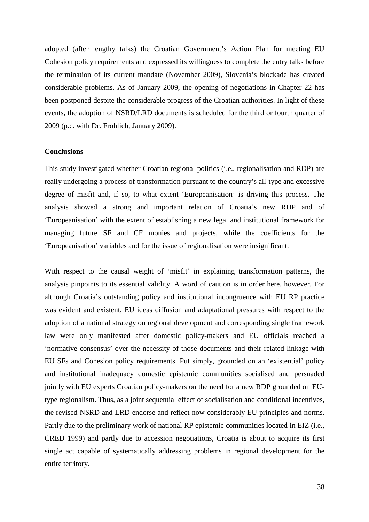adopted (after lengthy talks) the Croatian Government's Action Plan for meeting EU Cohesion policy requirements and expressed its willingness to complete the entry talks before the termination of its current mandate (November 2009), Slovenia's blockade has created considerable problems. As of January 2009, the opening of negotiations in Chapter 22 has been postponed despite the considerable progress of the Croatian authorities. In light of these events, the adoption of NSRD/LRD documents is scheduled for the third or fourth quarter of 2009 (p.c. with Dr. Frohlich, January 2009).

### **Conclusions**

This study investigated whether Croatian regional politics (i.e., regionalisation and RDP) are really undergoing a process of transformation pursuant to the country's all-type and excessive degree of misfit and, if so, to what extent 'Europeanisation' is driving this process. The analysis showed a strong and important relation of Croatia's new RDP and of 'Europeanisation' with the extent of establishing a new legal and institutional framework for managing future SF and CF monies and projects, while the coefficients for the 'Europeanisation' variables and for the issue of regionalisation were insignificant.

With respect to the causal weight of 'misfit' in explaining transformation patterns, the analysis pinpoints to its essential validity. A word of caution is in order here, however. For although Croatia's outstanding policy and institutional incongruence with EU RP practice was evident and existent, EU ideas diffusion and adaptational pressures with respect to the adoption of a national strategy on regional development and corresponding single framework law were only manifested after domestic policy-makers and EU officials reached a 'normative consensus' over the necessity of those documents and their related linkage with EU SFs and Cohesion policy requirements. Put simply, grounded on an 'existential' policy and institutional inadequacy domestic epistemic communities socialised and persuaded jointly with EU experts Croatian policy-makers on the need for a new RDP grounded on EUtype regionalism. Thus, as a joint sequential effect of socialisation and conditional incentives, the revised NSRD and LRD endorse and reflect now considerably EU principles and norms. Partly due to the preliminary work of national RP epistemic communities located in EIZ (i.e., CRED 1999) and partly due to accession negotiations, Croatia is about to acquire its first single act capable of systematically addressing problems in regional development for the entire territory.